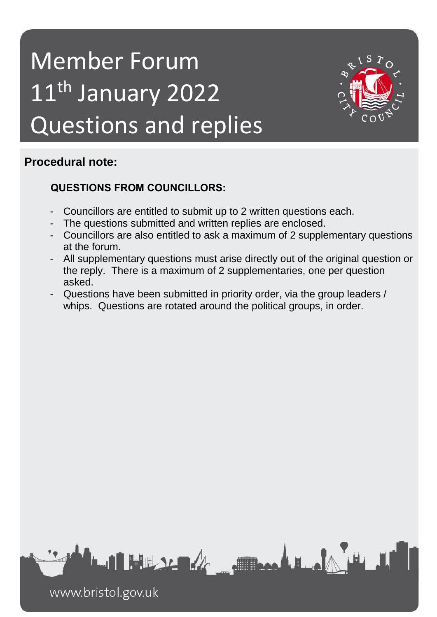# Member Forum 11<sup>th</sup> January 2022 Questions and replies



# **Procedural note:**

## **QUESTIONS FROM COUNCILLORS:**

- Councillors are entitled to submit up to 2 written questions each.
- The questions submitted and written replies are enclosed.
- Councillors are also entitled to ask a maximum of 2 supplementary questions at the forum.
- All supplementary questions must arise directly out of the original question or the reply. There is a maximum of 2 supplementaries, one per question asked.
- Questions have been submitted in priority order, via the group leaders / whips. Questions are rotated around the political groups, in order.



www.bristol.gov.uk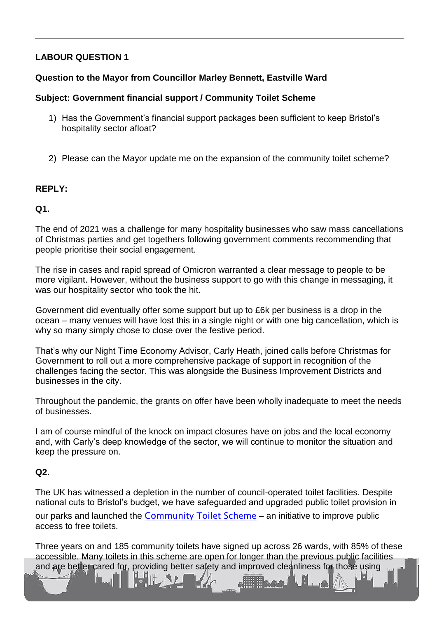## **LABOUR QUESTION 1**

## **Question to the Mayor from Councillor Marley Bennett, Eastville Ward**

## **Subject: Government financial support / Community Toilet Scheme**

- 1) Has the Government's financial support packages been sufficient to keep Bristol's hospitality sector afloat?
- 2) Please can the Mayor update me on the expansion of the community toilet scheme?

## **REPLY:**

## **Q1.**

The end of 2021 was a challenge for many hospitality businesses who saw mass cancellations of Christmas parties and get togethers following government comments recommending that people prioritise their social engagement.

The rise in cases and rapid spread of Omicron warranted a clear message to people to be more vigilant. However, without the business support to go with this change in messaging, it was our hospitality sector who took the hit.

Government did eventually offer some support but up to £6k per business is a drop in the ocean – many venues will have lost this in a single night or with one big cancellation, which is why so many simply chose to close over the festive period.

That's why our Night Time Economy Advisor, Carly Heath, joined calls before Christmas for Government to roll out a more comprehensive package of support in recognition of the challenges facing the sector. This was alongside the Business Improvement Districts and businesses in the city.

Throughout the pandemic, the grants on offer have been wholly inadequate to meet the needs of businesses.

I am of course mindful of the knock on impact closures have on jobs and the local economy and, with Carly's deep knowledge of the sector, we will continue to monitor the situation and keep the pressure on.

## **Q2.**

The UK has witnessed a depletion in the number of council-operated toilet facilities. Despite national cuts to Bristol's budget, we have safeguarded and upgraded public toilet provision in

our parks and launched the **[Community Toilet Scheme](https://www.bristol.gov.uk/business-support-advice/join-the-community-toilet-scheme)** – an initiative to improve public access to free toilets.

Three years on and 185 community toilets have signed up across 26 wards, with 85% of these accessible. Many toilets in this scheme are open for longer than the previous public facilities and are better cared for, providing better safety and improved cleanliness for those using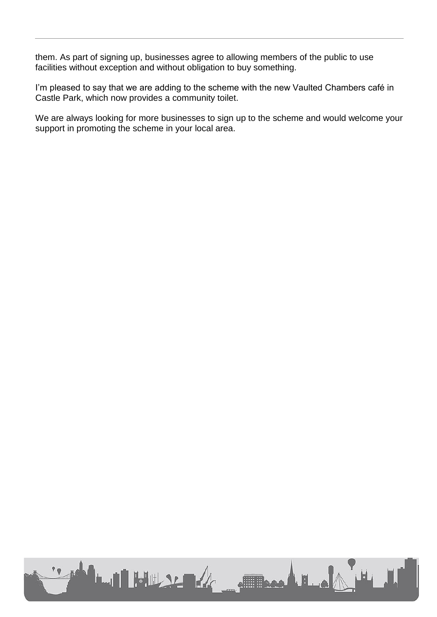them. As part of signing up, businesses agree to allowing members of the public to use facilities without exception and without obligation to buy something.

I'm pleased to say that we are adding to the scheme with the new Vaulted Chambers café in Castle Park, which now provides a community toilet.

We are always looking for more businesses to sign up to the scheme and would welcome your support in promoting the scheme in your local area.

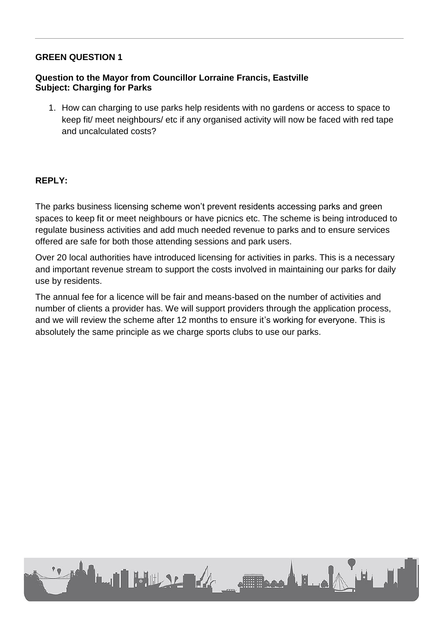#### **GREEN QUESTION 1**

#### **Question to the Mayor from Councillor Lorraine Francis, Eastville Subject: Charging for Parks**

1. How can charging to use parks help residents with no gardens or access to space to keep fit/ meet neighbours/ etc if any organised activity will now be faced with red tape and uncalculated costs?

#### **REPLY:**

The parks business licensing scheme won't prevent residents accessing parks and green spaces to keep fit or meet neighbours or have picnics etc. The scheme is being introduced to regulate business activities and add much needed revenue to parks and to ensure services offered are safe for both those attending sessions and park users.

Over 20 local authorities have introduced licensing for activities in parks. This is a necessary and important revenue stream to support the costs involved in maintaining our parks for daily use by residents.

The annual fee for a licence will be fair and means-based on the number of activities and number of clients a provider has. We will support providers through the application process, and we will review the scheme after 12 months to ensure it's working for everyone. This is absolutely the same principle as we charge sports clubs to use our parks.

**Millered** 

**LAN 51 12 14**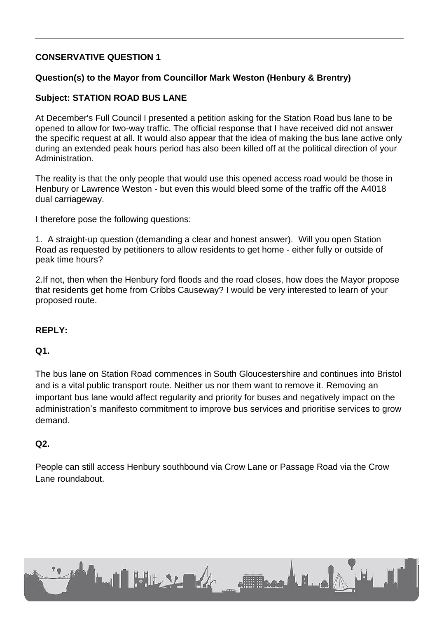## **CONSERVATIVE QUESTION 1**

## **Question(s) to the Mayor from Councillor Mark Weston (Henbury & Brentry)**

## **Subject: STATION ROAD BUS LANE**

At December's Full Council I presented a petition asking for the Station Road bus lane to be opened to allow for two-way traffic. The official response that I have received did not answer the specific request at all. It would also appear that the idea of making the bus lane active only during an extended peak hours period has also been killed off at the political direction of your Administration.

The reality is that the only people that would use this opened access road would be those in Henbury or Lawrence Weston - but even this would bleed some of the traffic off the A4018 dual carriageway.

I therefore pose the following questions:

1. A straight-up question (demanding a clear and honest answer). Will you open Station Road as requested by petitioners to allow residents to get home - either fully or outside of peak time hours?

2.If not, then when the Henbury ford floods and the road closes, how does the Mayor propose that residents get home from Cribbs Causeway? I would be very interested to learn of your proposed route.

## **REPLY:**

**Q1.**

The bus lane on Station Road commences in South Gloucestershire and continues into Bristol and is a vital public transport route. Neither us nor them want to remove it. Removing an important bus lane would affect regularity and priority for buses and negatively impact on the administration's manifesto commitment to improve bus services and prioritise services to grow demand.

#### **Q2.**

People can still access Henbury southbound via Crow Lane or Passage Road via the Crow Lane roundabout.

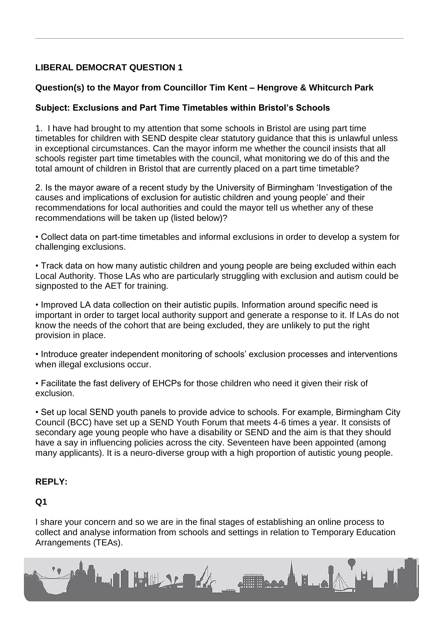## **LIBERAL DEMOCRAT QUESTION 1**

#### **Question(s) to the Mayor from Councillor Tim Kent – Hengrove & Whitcurch Park**

#### **Subject: Exclusions and Part Time Timetables within Bristol's Schools**

1. I have had brought to my attention that some schools in Bristol are using part time timetables for children with SEND despite clear statutory guidance that this is unlawful unless in exceptional circumstances. Can the mayor inform me whether the council insists that all schools register part time timetables with the council, what monitoring we do of this and the total amount of children in Bristol that are currently placed on a part time timetable?

2. Is the mayor aware of a recent study by the University of Birmingham 'Investigation of the causes and implications of exclusion for autistic children and young people' and their recommendations for local authorities and could the mayor tell us whether any of these recommendations will be taken up (listed below)?

• Collect data on part-time timetables and informal exclusions in order to develop a system for challenging exclusions.

• Track data on how many autistic children and young people are being excluded within each Local Authority. Those LAs who are particularly struggling with exclusion and autism could be signposted to the AET for training.

• Improved LA data collection on their autistic pupils. Information around specific need is important in order to target local authority support and generate a response to it. If LAs do not know the needs of the cohort that are being excluded, they are unlikely to put the right provision in place.

• Introduce greater independent monitoring of schools' exclusion processes and interventions when illegal exclusions occur.

• Facilitate the fast delivery of EHCPs for those children who need it given their risk of exclusion.

• Set up local SEND youth panels to provide advice to schools. For example, Birmingham City Council (BCC) have set up a SEND Youth Forum that meets 4-6 times a year. It consists of secondary age young people who have a disability or SEND and the aim is that they should have a say in influencing policies across the city. Seventeen have been appointed (among many applicants). It is a neuro-diverse group with a high proportion of autistic young people.

## **REPLY:**

#### **Q1**

I share your concern and so we are in the final stages of establishing an online process to collect and analyse information from schools and settings in relation to Temporary Education Arrangements (TEAs).

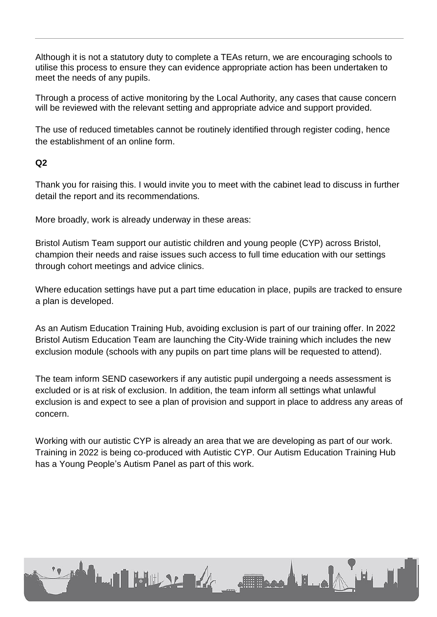Although it is not a statutory duty to complete a TEAs return, we are encouraging schools to utilise this process to ensure they can evidence appropriate action has been undertaken to meet the needs of any pupils.

Through a process of active monitoring by the Local Authority, any cases that cause concern will be reviewed with the relevant setting and appropriate advice and support provided.

The use of reduced timetables cannot be routinely identified through register coding, hence the establishment of an online form.

## **Q2**

Thank you for raising this. I would invite you to meet with the cabinet lead to discuss in further detail the report and its recommendations.

More broadly, work is already underway in these areas:

**LAN HULLA** 

Bristol Autism Team support our autistic children and young people (CYP) across Bristol, champion their needs and raise issues such access to full time education with our settings through cohort meetings and advice clinics.

Where education settings have put a part time education in place, pupils are tracked to ensure a plan is developed.

As an Autism Education Training Hub, avoiding exclusion is part of our training offer. In 2022 Bristol Autism Education Team are launching the City-Wide training which includes the new exclusion module (schools with any pupils on part time plans will be requested to attend).

The team inform SEND caseworkers if any autistic pupil undergoing a needs assessment is excluded or is at risk of exclusion. In addition, the team inform all settings what unlawful exclusion is and expect to see a plan of provision and support in place to address any areas of concern.

Working with our autistic CYP is already an area that we are developing as part of our work. Training in 2022 is being co-produced with Autistic CYP. Our Autism Education Training Hub has a Young People's Autism Panel as part of this work.

AU LA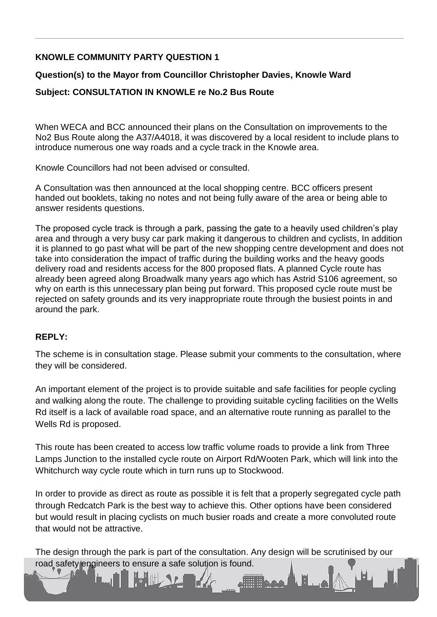## **KNOWLE COMMUNITY PARTY QUESTION 1**

## **Question(s) to the Mayor from Councillor Christopher Davies, Knowle Ward**

## **Subject: CONSULTATION IN KNOWLE re No.2 Bus Route**

When WECA and BCC announced their plans on the Consultation on improvements to the No2 Bus Route along the A37/A4018, it was discovered by a local resident to include plans to introduce numerous one way roads and a cycle track in the Knowle area.

Knowle Councillors had not been advised or consulted.

A Consultation was then announced at the local shopping centre. BCC officers present handed out booklets, taking no notes and not being fully aware of the area or being able to answer residents questions.

The proposed cycle track is through a park, passing the gate to a heavily used children's play area and through a very busy car park making it dangerous to children and cyclists, In addition it is planned to go past what will be part of the new shopping centre development and does not take into consideration the impact of traffic during the building works and the heavy goods delivery road and residents access for the 800 proposed flats. A planned Cycle route has already been agreed along Broadwalk many years ago which has Astrid S106 agreement, so why on earth is this unnecessary plan being put forward. This proposed cycle route must be rejected on safety grounds and its very inappropriate route through the busiest points in and around the park.

## **REPLY:**

The scheme is in consultation stage. Please submit your comments to the consultation, where they will be considered.

An important element of the project is to provide suitable and safe facilities for people cycling and walking along the route. The challenge to providing suitable cycling facilities on the Wells Rd itself is a lack of available road space, and an alternative route running as parallel to the Wells Rd is proposed.

This route has been created to access low traffic volume roads to provide a link from Three Lamps Junction to the installed cycle route on Airport Rd/Wooten Park, which will link into the Whitchurch way cycle route which in turn runs up to Stockwood.

In order to provide as direct as route as possible it is felt that a properly segregated cycle path through Redcatch Park is the best way to achieve this. Other options have been considered but would result in placing cyclists on much busier roads and create a more convoluted route that would not be attractive.

The design through the park is part of the consultation. Any design will be scrutinised by our road safety engineers to ensure a safe solution is found.

 $||\cdot||$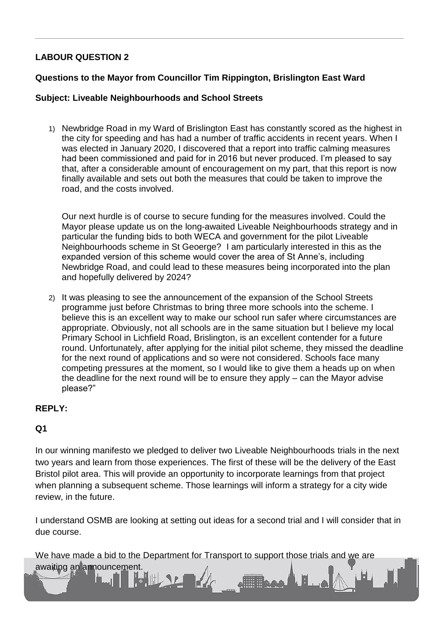## **LABOUR QUESTION 2**

## **Questions to the Mayor from Councillor Tim Rippington, Brislington East Ward**

## **Subject: Liveable Neighbourhoods and School Streets**

1) Newbridge Road in my Ward of Brislington East has constantly scored as the highest in the city for speeding and has had a number of traffic accidents in recent years. When I was elected in January 2020, I discovered that a report into traffic calming measures had been commissioned and paid for in 2016 but never produced. I'm pleased to say that, after a considerable amount of encouragement on my part, that this report is now finally available and sets out both the measures that could be taken to improve the road, and the costs involved.

Our next hurdle is of course to secure funding for the measures involved. Could the Mayor please update us on the long-awaited Liveable Neighbourhoods strategy and in particular the funding bids to both WECA and government for the pilot Liveable Neighbourhoods scheme in St Geoerge? I am particularly interested in this as the expanded version of this scheme would cover the area of St Anne's, including Newbridge Road, and could lead to these measures being incorporated into the plan and hopefully delivered by 2024?

2) It was pleasing to see the announcement of the expansion of the School Streets programme just before Christmas to bring three more schools into the scheme. I believe this is an excellent way to make our school run safer where circumstances are appropriate. Obviously, not all schools are in the same situation but I believe my local Primary School in Lichfield Road, Brislington, is an excellent contender for a future round. Unfortunately, after applying for the initial pilot scheme, they missed the deadline for the next round of applications and so were not considered. Schools face many competing pressures at the moment, so I would like to give them a heads up on when the deadline for the next round will be to ensure they apply – can the Mayor advise please?"

## **REPLY:**

## **Q1**

In our winning manifesto we pledged to deliver two Liveable Neighbourhoods trials in the next two years and learn from those experiences. The first of these will be the delivery of the East Bristol pilot area. This will provide an opportunity to incorporate learnings from that project when planning a subsequent scheme. Those learnings will inform a strategy for a city wide review, in the future.

I understand OSMB are looking at setting out ideas for a second trial and I will consider that in due course.

We have made a bid to the Department for Transport to support those trials and we are awaiting an announcement.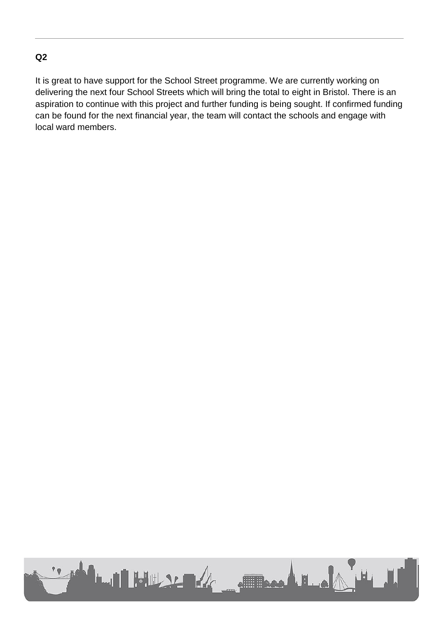## **Q2**

It is great to have support for the School Street programme. We are currently working on delivering the next four School Streets which will bring the total to eight in Bristol. There is an aspiration to continue with this project and further funding is being sought. If confirmed funding can be found for the next financial year, the team will contact the schools and engage with local ward members.

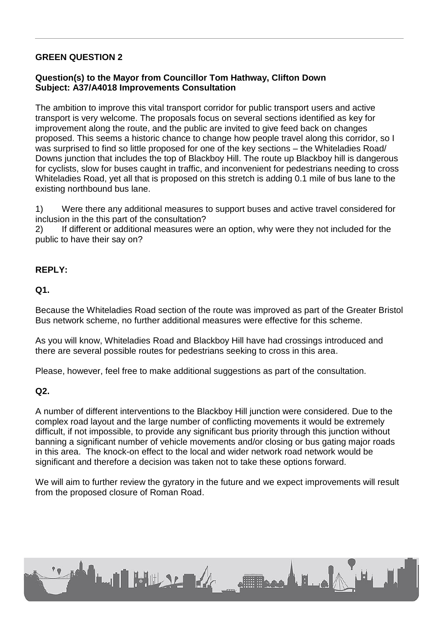#### **GREEN QUESTION 2**

#### **Question(s) to the Mayor from Councillor Tom Hathway, Clifton Down Subject: A37/A4018 Improvements Consultation**

The ambition to improve this vital transport corridor for public transport users and active transport is very welcome. The proposals focus on several sections identified as key for improvement along the route, and the public are invited to give feed back on changes proposed. This seems a historic chance to change how people travel along this corridor, so I was surprised to find so little proposed for one of the key sections – the Whiteladies Road/ Downs junction that includes the top of Blackboy Hill. The route up Blackboy hill is dangerous for cyclists, slow for buses caught in traffic, and inconvenient for pedestrians needing to cross Whiteladies Road, yet all that is proposed on this stretch is adding 0.1 mile of bus lane to the existing northbound bus lane.

1) Were there any additional measures to support buses and active travel considered for inclusion in the this part of the consultation?

2) If different or additional measures were an option, why were they not included for the public to have their say on?

#### **REPLY:**

#### **Q1.**

Because the Whiteladies Road section of the route was improved as part of the Greater Bristol Bus network scheme, no further additional measures were effective for this scheme.

As you will know, Whiteladies Road and Blackboy Hill have had crossings introduced and there are several possible routes for pedestrians seeking to cross in this area.

Please, however, feel free to make additional suggestions as part of the consultation.

#### **Q2.**

A number of different interventions to the Blackboy Hill junction were considered. Due to the complex road layout and the large number of conflicting movements it would be extremely difficult, if not impossible, to provide any significant bus priority through this junction without banning a significant number of vehicle movements and/or closing or bus gating major roads in this area. The knock-on effect to the local and wider network road network would be significant and therefore a decision was taken not to take these options forward.

We will aim to further review the gyratory in the future and we expect improvements will result from the proposed closure of Roman Road.

A.H.

**LAN 5-14-12-14-**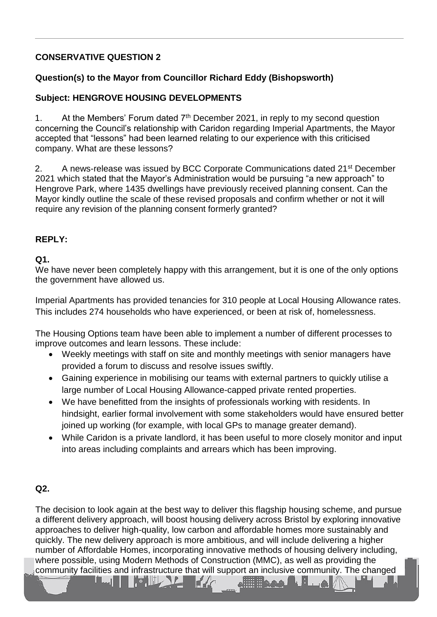## **CONSERVATIVE QUESTION 2**

## **Question(s) to the Mayor from Councillor Richard Eddy (Bishopsworth)**

## **Subject: HENGROVE HOUSING DEVELOPMENTS**

1. At the Members' Forum dated  $7<sup>th</sup>$  December 2021, in reply to my second question concerning the Council's relationship with Caridon regarding Imperial Apartments, the Mayor accepted that "lessons" had been learned relating to our experience with this criticised company. What are these lessons?

2. A news-release was issued by BCC Corporate Communications dated 21<sup>st</sup> December 2021 which stated that the Mayor's Administration would be pursuing "a new approach" to Hengrove Park, where 1435 dwellings have previously received planning consent. Can the Mayor kindly outline the scale of these revised proposals and confirm whether or not it will require any revision of the planning consent formerly granted?

## **REPLY:**

#### **Q1.**

We have never been completely happy with this arrangement, but it is one of the only options the government have allowed us.

Imperial Apartments has provided tenancies for 310 people at Local Housing Allowance rates. This includes 274 households who have experienced, or been at risk of, homelessness.

The Housing Options team have been able to implement a number of different processes to improve outcomes and learn lessons. These include:

- Weekly meetings with staff on site and monthly meetings with senior managers have provided a forum to discuss and resolve issues swiftly.
- Gaining experience in mobilising our teams with external partners to quickly utilise a large number of Local Housing Allowance-capped private rented properties.
- We have benefitted from the insights of professionals working with residents. In hindsight, earlier formal involvement with some stakeholders would have ensured better joined up working (for example, with local GPs to manage greater demand).
- While Caridon is a private landlord, it has been useful to more closely monitor and input into areas including complaints and arrears which has been improving.

## **Q2.**

The decision to look again at the best way to deliver this flagship housing scheme, and pursue a different delivery approach, will boost housing delivery across Bristol by exploring innovative approaches to deliver high-quality, low carbon and affordable homes more sustainably and quickly. The new delivery approach is more ambitious, and will include delivering a higher number of Affordable Homes, incorporating innovative methods of housing delivery including, where possible, using Modern Methods of Construction (MMC), as well as providing the community facilities and infrastructure that will support an inclusive community. The changed  $\left| \begin{array}{c} \begin{array}{c} \begin{array}{c} \end{array} \\ \end{array} \right| = \left| \begin{array}{c} \begin{array}{c} \end{array} \end{array} \right| = \left| \begin{array}{c} \begin{array}{c} \end{array} \end{array} \right| = \left| \begin{array}{c} \end{array} \right| = \left| \begin{array}{c} \end{array} \right| = \left| \begin{array}{c} \end{array} \right| = \left| \begin{array}{c} \end{array} \right| = \left| \begin{array}{c} \end{array} \right| = \left| \begin{array}{c} \end{array} \right| = \left| \begin$  $\mathcal{U}$ All Angel B. A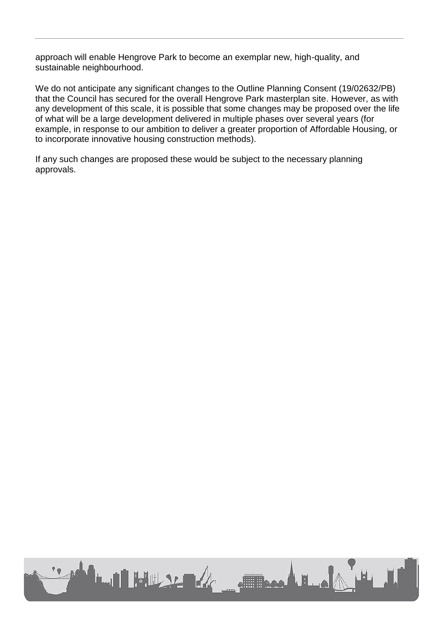approach will enable Hengrove Park to become an exemplar new, high-quality, and sustainable neighbourhood.

We do not anticipate any significant changes to the Outline Planning Consent (19/02632/PB) that the Council has secured for the overall Hengrove Park masterplan site. However, as with any development of this scale, it is possible that some changes may be proposed over the life of what will be a large development delivered in multiple phases over several years (for example, in response to our ambition to deliver a greater proportion of Affordable Housing, or to incorporate innovative housing construction methods).

If any such changes are proposed these would be subject to the necessary planning approvals.

**LAN 181 12 14** 

**Miller**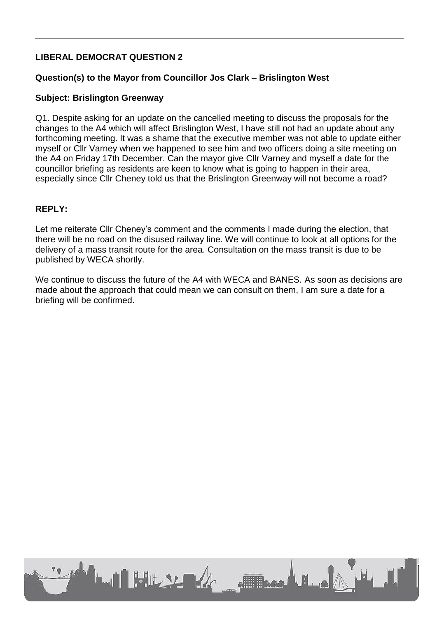## **LIBERAL DEMOCRAT QUESTION 2**

## **Question(s) to the Mayor from Councillor Jos Clark – Brislington West**

#### **Subject: Brislington Greenway**

Q1. Despite asking for an update on the cancelled meeting to discuss the proposals for the changes to the A4 which will affect Brislington West, I have still not had an update about any forthcoming meeting. It was a shame that the executive member was not able to update either myself or Cllr Varney when we happened to see him and two officers doing a site meeting on the A4 on Friday 17th December. Can the mayor give Cllr Varney and myself a date for the councillor briefing as residents are keen to know what is going to happen in their area, especially since Cllr Cheney told us that the Brislington Greenway will not become a road?

#### **REPLY:**

Let me reiterate Cllr Cheney's comment and the comments I made during the election, that there will be no road on the disused railway line. We will continue to look at all options for the delivery of a mass transit route for the area. Consultation on the mass transit is due to be published by WECA shortly.

We continue to discuss the future of the A4 with WECA and BANES. As soon as decisions are made about the approach that could mean we can consult on them, I am sure a date for a briefing will be confirmed.

**LAN 5-14-14-44**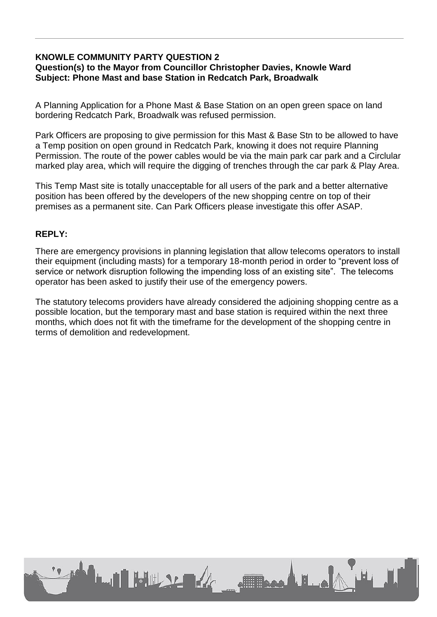## **KNOWLE COMMUNITY PARTY QUESTION 2**

## **Question(s) to the Mayor from Councillor Christopher Davies, Knowle Ward Subject: Phone Mast and base Station in Redcatch Park, Broadwalk**

A Planning Application for a Phone Mast & Base Station on an open green space on land bordering Redcatch Park, Broadwalk was refused permission.

Park Officers are proposing to give permission for this Mast & Base Stn to be allowed to have a Temp position on open ground in Redcatch Park, knowing it does not require Planning Permission. The route of the power cables would be via the main park car park and a Circlular marked play area, which will require the digging of trenches through the car park & Play Area.

This Temp Mast site is totally unacceptable for all users of the park and a better alternative position has been offered by the developers of the new shopping centre on top of their premises as a permanent site. Can Park Officers please investigate this offer ASAP.

## **REPLY:**

There are emergency provisions in planning legislation that allow telecoms operators to install their equipment (including masts) for a temporary 18-month period in order to "prevent loss of service or network disruption following the impending loss of an existing site". The telecoms operator has been asked to justify their use of the emergency powers.

The statutory telecoms providers have already considered the adjoining shopping centre as a possible location, but the temporary mast and base station is required within the next three months, which does not fit with the timeframe for the development of the shopping centre in terms of demolition and redevelopment.

**LAN HUAL 14**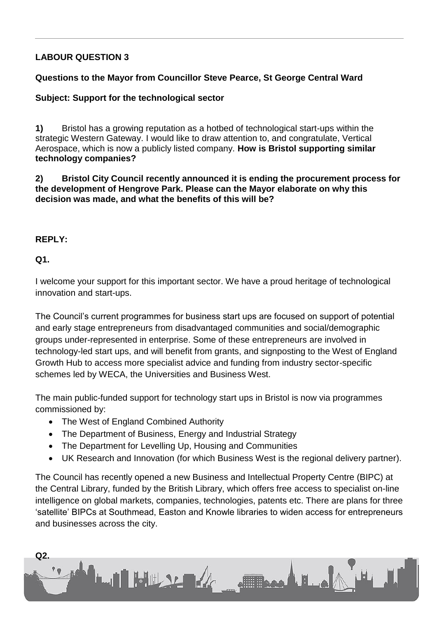## **LABOUR QUESTION 3**

## **Questions to the Mayor from Councillor Steve Pearce, St George Central Ward**

## **Subject: Support for the technological sector**

**1)** Bristol has a growing reputation as a hotbed of technological start-ups within the strategic Western Gateway. I would like to draw attention to, and congratulate, Vertical Aerospace, which is now a publicly listed company. **How is Bristol supporting similar technology companies?**

#### **2) Bristol City Council recently announced it is ending the procurement process for the development of Hengrove Park. Please can the Mayor elaborate on why this decision was made, and what the benefits of this will be?**

## **REPLY:**

## **Q1.**

I welcome your support for this important sector. We have a proud heritage of technological innovation and start-ups.

The Council's current programmes for business start ups are focused on support of potential and early stage entrepreneurs from disadvantaged communities and social/demographic groups under-represented in enterprise. Some of these entrepreneurs are involved in technology-led start ups, and will benefit from grants, and signposting to the West of England Growth Hub to access more specialist advice and funding from industry sector-specific schemes led by WECA, the Universities and Business West.

The main public-funded support for technology start ups in Bristol is now via programmes commissioned by:

- The West of England Combined Authority
- The Department of Business, Energy and Industrial Strategy
- The Department for Levelling Up, Housing and Communities
- UK Research and Innovation (for which Business West is the regional delivery partner).

The Council has recently opened a new Business and Intellectual Property Centre (BIPC) at the Central Library, funded by the British Library, which offers free access to specialist on-line intelligence on global markets, companies, technologies, patents etc. There are plans for three 'satellite' BIPCs at Southmead, Easton and Knowle libraries to widen access for entrepreneurs and businesses across the city.

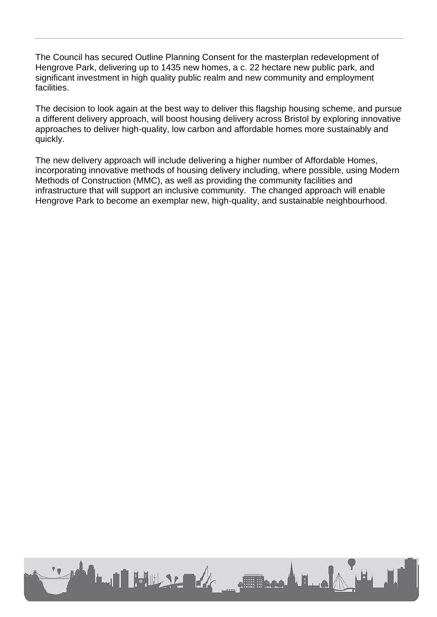The Council has secured Outline Planning Consent for the masterplan redevelopment of Hengrove Park, delivering up to 1435 new homes, a c. 22 hectare new public park, and significant investment in high quality public realm and new community and employment facilities.

The decision to look again at the best way to deliver this flagship housing scheme, and pursue a different delivery approach, will boost housing delivery across Bristol by exploring innovative approaches to deliver high-quality, low carbon and affordable homes more sustainably and quickly.

The new delivery approach will include delivering a higher number of Affordable Homes, incorporating innovative methods of housing delivery including, where possible, using Modern Methods of Construction (MMC), as well as providing the community facilities and infrastructure that will support an inclusive community. The changed approach will enable Hengrove Park to become an exemplar new, high-quality, and sustainable neighbourhood.

**LAN HULLA** 

**MHAAA**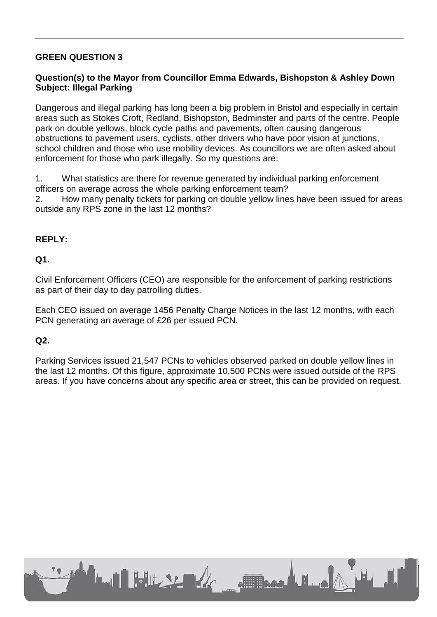#### **GREEN QUESTION 3**

#### **Question(s) to the Mayor from Councillor Emma Edwards, Bishopston & Ashley Down Subject: Illegal Parking**

Dangerous and illegal parking has long been a big problem in Bristol and especially in certain areas such as Stokes Croft, Redland, Bishopston, Bedminster and parts of the centre. People park on double yellows, block cycle paths and pavements, often causing dangerous obstructions to pavement users, cyclists, other drivers who have poor vision at junctions, school children and those who use mobility devices. As councillors we are often asked about enforcement for those who park illegally. So my questions are:

1. What statistics are there for revenue generated by individual parking enforcement officers on average across the whole parking enforcement team?

2. How many penalty tickets for parking on double yellow lines have been issued for areas outside any RPS zone in the last 12 months?

#### **REPLY:**

**Q1.**

Civil Enforcement Officers (CEO) are responsible for the enforcement of parking restrictions as part of their day to day patrolling duties.

Each CEO issued on average 1456 Penalty Charge Notices in the last 12 months, with each PCN generating an average of £26 per issued PCN.

#### **Q2.**

Parking Services issued 21,547 PCNs to vehicles observed parked on double yellow lines in the last 12 months. Of this figure, approximate 10,500 PCNs were issued outside of the RPS areas. If you have concerns about any specific area or street, this can be provided on request.

**MIN** 

**LAN 181 12 14**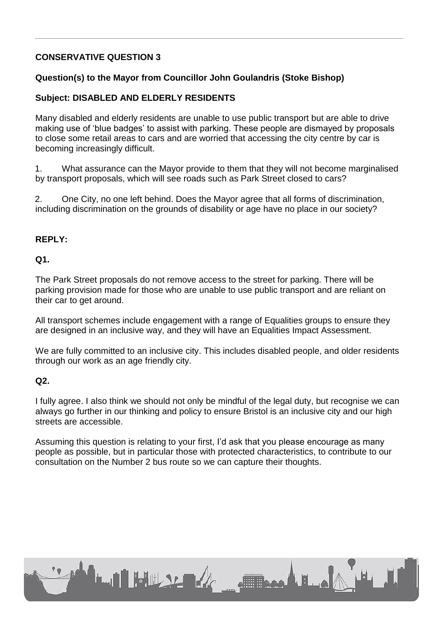## **CONSERVATIVE QUESTION 3**

## **Question(s) to the Mayor from Councillor John Goulandris (Stoke Bishop)**

## **Subject: DISABLED AND ELDERLY RESIDENTS**

Many disabled and elderly residents are unable to use public transport but are able to drive making use of 'blue badges' to assist with parking. These people are dismayed by proposals to close some retail areas to cars and are worried that accessing the city centre by car is becoming increasingly difficult.

1. What assurance can the Mayor provide to them that they will not become marginalised by transport proposals, which will see roads such as Park Street closed to cars?

2. One City, no one left behind. Does the Mayor agree that all forms of discrimination, including discrimination on the grounds of disability or age have no place in our society?

#### **REPLY:**

**Q1.**

The Park Street proposals do not remove access to the street for parking. There will be parking provision made for those who are unable to use public transport and are reliant on their car to get around.

All transport schemes include engagement with a range of Equalities groups to ensure they are designed in an inclusive way, and they will have an Equalities Impact Assessment.

We are fully committed to an inclusive city. This includes disabled people, and older residents through our work as an age friendly city.

#### **Q2.**

I fully agree. I also think we should not only be mindful of the legal duty, but recognise we can always go further in our thinking and policy to ensure Bristol is an inclusive city and our high streets are accessible.

Assuming this question is relating to your first, I'd ask that you please encourage as many people as possible, but in particular those with protected characteristics, to contribute to our consultation on the Number 2 bus route so we can capture their thoughts.

A.H. a

**HILL AND** 

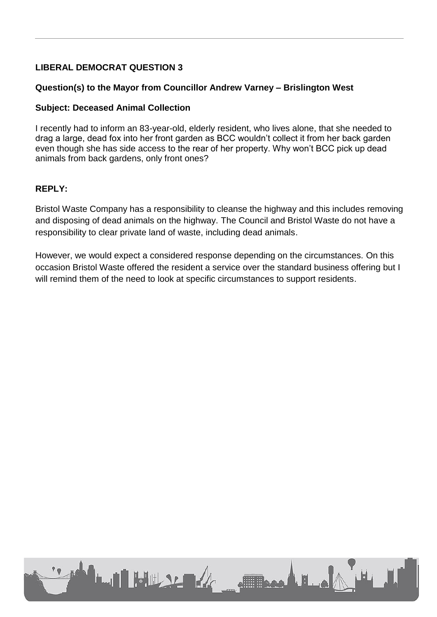## **LIBERAL DEMOCRAT QUESTION 3**

#### **Question(s) to the Mayor from Councillor Andrew Varney – Brislington West**

#### **Subject: Deceased Animal Collection**

I recently had to inform an 83-year-old, elderly resident, who lives alone, that she needed to drag a large, dead fox into her front garden as BCC wouldn't collect it from her back garden even though she has side access to the rear of her property. Why won't BCC pick up dead animals from back gardens, only front ones?

## **REPLY:**

Bristol Waste Company has a responsibility to cleanse the highway and this includes removing and disposing of dead animals on the highway. The Council and Bristol Waste do not have a responsibility to clear private land of waste, including dead animals.

However, we would expect a considered response depending on the circumstances. On this occasion Bristol Waste offered the resident a service over the standard business offering but I will remind them of the need to look at specific circumstances to support residents.

**LAN HULLA**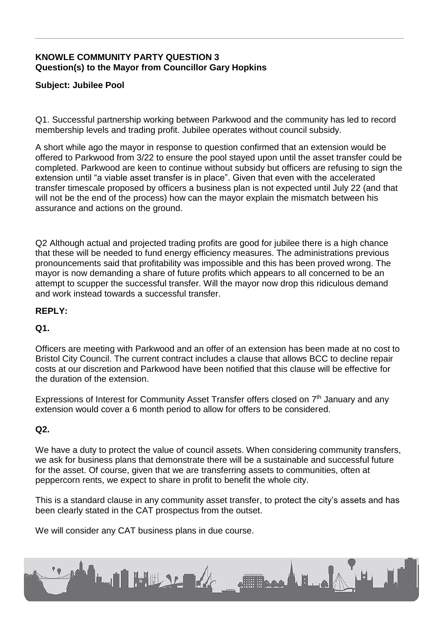## **KNOWLE COMMUNITY PARTY QUESTION 3 Question(s) to the Mayor from Councillor Gary Hopkins**

## **Subject: Jubilee Pool**

Q1. Successful partnership working between Parkwood and the community has led to record membership levels and trading profit. Jubilee operates without council subsidy.

A short while ago the mayor in response to question confirmed that an extension would be offered to Parkwood from 3/22 to ensure the pool stayed upon until the asset transfer could be completed. Parkwood are keen to continue without subsidy but officers are refusing to sign the extension until "a viable asset transfer is in place". Given that even with the accelerated transfer timescale proposed by officers a business plan is not expected until July 22 (and that will not be the end of the process) how can the mayor explain the mismatch between his assurance and actions on the ground.

Q2 Although actual and projected trading profits are good for jubilee there is a high chance that these will be needed to fund energy efficiency measures. The administrations previous pronouncements said that profitability was impossible and this has been proved wrong. The mayor is now demanding a share of future profits which appears to all concerned to be an attempt to scupper the successful transfer. Will the mayor now drop this ridiculous demand and work instead towards a successful transfer.

## **REPLY:**

## **Q1.**

Officers are meeting with Parkwood and an offer of an extension has been made at no cost to Bristol City Council. The current contract includes a clause that allows BCC to decline repair costs at our discretion and Parkwood have been notified that this clause will be effective for the duration of the extension.

Expressions of Interest for Community Asset Transfer offers closed on 7<sup>th</sup> January and any extension would cover a 6 month period to allow for offers to be considered.

## **Q2.**

We have a duty to protect the value of council assets. When considering community transfers, we ask for business plans that demonstrate there will be a sustainable and successful future for the asset. Of course, given that we are transferring assets to communities, often at peppercorn rents, we expect to share in profit to benefit the whole city.

This is a standard clause in any community asset transfer, to protect the city's assets and has been clearly stated in the CAT prospectus from the outset.

We will consider any CAT business plans in due course.

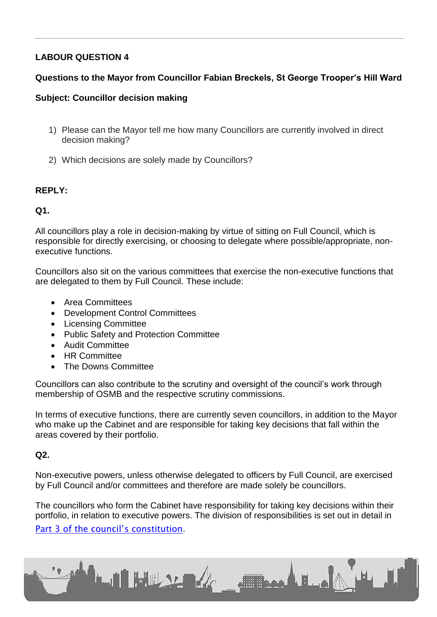## **LABOUR QUESTION 4**

## **Questions to the Mayor from Councillor Fabian Breckels, St George Trooper's Hill Ward**

#### **Subject: Councillor decision making**

- 1) Please can the Mayor tell me how many Councillors are currently involved in direct decision making?
- 2) Which decisions are solely made by Councillors?

## **REPLY:**

#### **Q1.**

All councillors play a role in decision-making by virtue of sitting on Full Council, which is responsible for directly exercising, or choosing to delegate where possible/appropriate, nonexecutive functions.

Councillors also sit on the various committees that exercise the non-executive functions that are delegated to them by Full Council. These include:

- Area Committees
- Development Control Committees
- Licensing Committee
- Public Safety and Protection Committee
- Audit Committee
- HR Committee
- The Downs Committee

Councillors can also contribute to the scrutiny and oversight of the council's work through membership of OSMB and the respective scrutiny commissions.

In terms of executive functions, there are currently seven councillors, in addition to the Mayor who make up the Cabinet and are responsible for taking key decisions that fall within the areas covered by their portfolio.

## **Q2.**

Non-executive powers, unless otherwise delegated to officers by Full Council, are exercised by Full Council and/or committees and therefore are made solely be councillors.

The councillors who form the Cabinet have responsibility for taking key decisions within their portfolio, in relation to executive powers. The division of responsibilities is set out in detail in [Part 3 of the council's constitution](https://eur03.safelinks.protection.outlook.com/?url=https%3A%2F%2Fwww.bristol.gov.uk%2Fdocuments%2F20182%2F34176%2FBCC%2BConstitution%2BPart%2B3%2B-%2BResponsibility%2Bfor%2Bfunctions.pdf%2Fd505589e-e7ce-743a-3060-58d11d45615e&data=04%7C01%7C%7C87fde5ab1cf042342f5408d9d1bfde46%7C6378a7a50f214482aee0897eb7de331f%7C0%7C0%7C637771444263407946%7CUnknown%7CTWFpbGZsb3d8eyJWIjoiMC4wLjAwMDAiLCJQIjoiV2luMzIiLCJBTiI6Ik1haWwiLCJXVCI6Mn0%3D%7C3000&sdata=Spt6xMdiiYrkctv7YhIgze47S5mUD%2Bc3FCxAZ8ao86Q%3D&reserved=0).

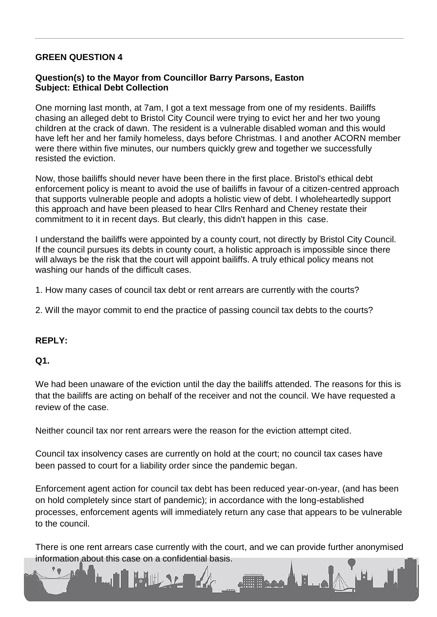#### **GREEN QUESTION 4**

#### **Question(s) to the Mayor from Councillor Barry Parsons, Easton Subject: Ethical Debt Collection**

One morning last month, at 7am, I got a text message from one of my residents. Bailiffs chasing an alleged debt to Bristol City Council were trying to evict her and her two young children at the crack of dawn. The resident is a vulnerable disabled woman and this would have left her and her family homeless, days before Christmas. I and another ACORN member were there within five minutes, our numbers quickly grew and together we successfully resisted the eviction.

Now, those bailiffs should never have been there in the first place. Bristol's ethical debt enforcement policy is meant to avoid the use of bailiffs in favour of a citizen-centred approach that supports vulnerable people and adopts a holistic view of debt. I wholeheartedly support this approach and have been pleased to hear Cllrs Renhard and Cheney restate their commitment to it in recent days. But clearly, this didn't happen in this case.

I understand the bailiffs were appointed by a county court, not directly by Bristol City Council. If the council pursues its debts in county court, a holistic approach is impossible since there will always be the risk that the court will appoint bailiffs. A truly ethical policy means not washing our hands of the difficult cases.

1. How many cases of council tax debt or rent arrears are currently with the courts?

2. Will the mayor commit to end the practice of passing council tax debts to the courts?

## **REPLY:**

#### $\Omega$ 1.

We had been unaware of the eviction until the day the bailiffs attended. The reasons for this is that the bailiffs are acting on behalf of the receiver and not the council. We have requested a review of the case.

Neither council tax nor rent arrears were the reason for the eviction attempt cited.

Holl SET

Council tax insolvency cases are currently on hold at the court; no council tax cases have been passed to court for a liability order since the pandemic began.

Enforcement agent action for council tax debt has been reduced year-on-year, (and has been on hold completely since start of pandemic); in accordance with the long-established processes, enforcement agents will immediately return any case that appears to be vulnerable to the council.

There is one rent arrears case currently with the court, and we can provide further anonymised information about this case on a confidential basis.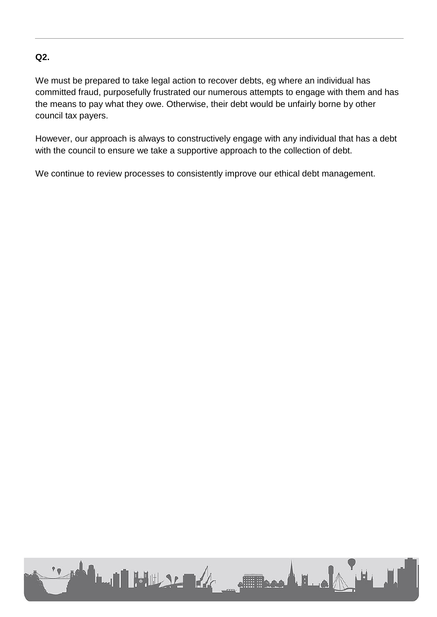## **Q2.**

We must be prepared to take legal action to recover debts, eg where an individual has committed fraud, purposefully frustrated our numerous attempts to engage with them and has the means to pay what they owe. Otherwise, their debt would be unfairly borne by other council tax payers.

However, our approach is always to constructively engage with any individual that has a debt with the council to ensure we take a supportive approach to the collection of debt.

We continue to review processes to consistently improve our ethical debt management.

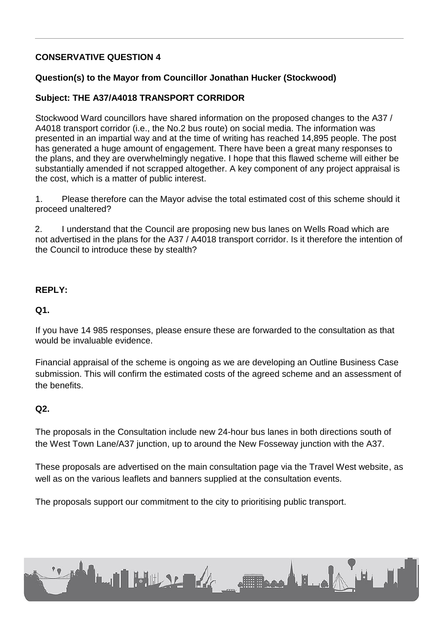## **CONSERVATIVE QUESTION 4**

## **Question(s) to the Mayor from Councillor Jonathan Hucker (Stockwood)**

## **Subject: THE A37/A4018 TRANSPORT CORRIDOR**

Stockwood Ward councillors have shared information on the proposed changes to the A37 / A4018 transport corridor (i.e., the No.2 bus route) on social media. The information was presented in an impartial way and at the time of writing has reached 14,895 people. The post has generated a huge amount of engagement. There have been a great many responses to the plans, and they are overwhelmingly negative. I hope that this flawed scheme will either be substantially amended if not scrapped altogether. A key component of any project appraisal is the cost, which is a matter of public interest.

1. Please therefore can the Mayor advise the total estimated cost of this scheme should it proceed unaltered?

2. I understand that the Council are proposing new bus lanes on Wells Road which are not advertised in the plans for the A37 / A4018 transport corridor. Is it therefore the intention of the Council to introduce these by stealth?

## **REPLY:**

#### **Q1.**

If you have 14 985 responses, please ensure these are forwarded to the consultation as that would be invaluable evidence.

Financial appraisal of the scheme is ongoing as we are developing an Outline Business Case submission. This will confirm the estimated costs of the agreed scheme and an assessment of the benefits.

## **Q2.**

The proposals in the Consultation include new 24-hour bus lanes in both directions south of the West Town Lane/A37 junction, up to around the New Fosseway junction with the A37.

These proposals are advertised on the main consultation page via the Travel West website, as well as on the various leaflets and banners supplied at the consultation events.

The proposals support our commitment to the city to prioritising public transport.

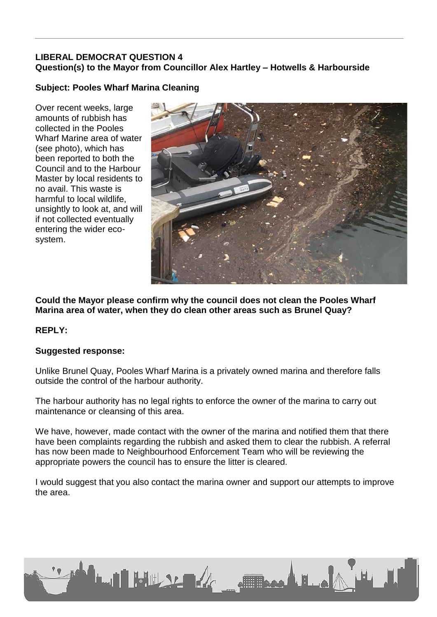## **LIBERAL DEMOCRAT QUESTION 4 Question(s) to the Mayor from Councillor Alex Hartley – Hotwells & Harbourside**

## **Subject: Pooles Wharf Marina Cleaning**

Over recent weeks, large amounts of rubbish has collected in the Pooles Wharf Marine area of water (see photo), which has been reported to both the Council and to the Harbour Master by local residents to no avail. This waste is harmful to local wildlife, unsightly to look at, and will if not collected eventually entering the wider ecosystem.



Face LE A

**Could the Mayor please confirm why the council does not clean the Pooles Wharf Marina area of water, when they do clean other areas such as Brunel Quay?**

## **REPLY:**

## **Suggested response:**

Unlike Brunel Quay, Pooles Wharf Marina is a privately owned marina and therefore falls outside the control of the harbour authority.

The harbour authority has no legal rights to enforce the owner of the marina to carry out maintenance or cleansing of this area.

We have, however, made contact with the owner of the marina and notified them that there have been complaints regarding the rubbish and asked them to clear the rubbish. A referral has now been made to Neighbourhood Enforcement Team who will be reviewing the appropriate powers the council has to ensure the litter is cleared.

I would suggest that you also contact the marina owner and support our attempts to improve the area.

**LATER SERVICE**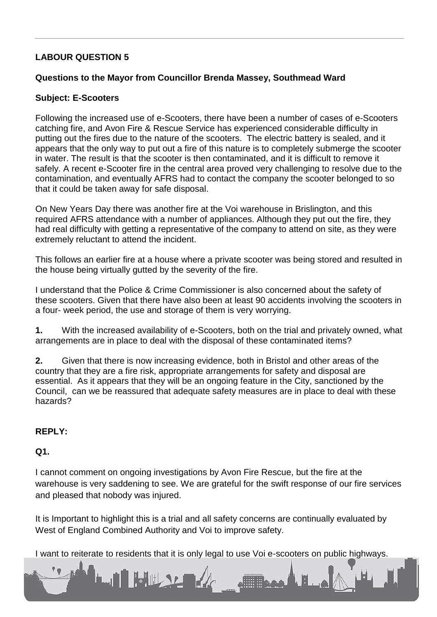## **LABOUR QUESTION 5**

## **Questions to the Mayor from Councillor Brenda Massey, Southmead Ward**

## **Subject: E-Scooters**

Following the increased use of e-Scooters, there have been a number of cases of e-Scooters catching fire, and Avon Fire & Rescue Service has experienced considerable difficulty in putting out the fires due to the nature of the scooters. The electric battery is sealed, and it appears that the only way to put out a fire of this nature is to completely submerge the scooter in water. The result is that the scooter is then contaminated, and it is difficult to remove it safely. A recent e-Scooter fire in the central area proved very challenging to resolve due to the contamination, and eventually AFRS had to contact the company the scooter belonged to so that it could be taken away for safe disposal.

On New Years Day there was another fire at the Voi warehouse in Brislington, and this required AFRS attendance with a number of appliances. Although they put out the fire, they had real difficulty with getting a representative of the company to attend on site, as they were extremely reluctant to attend the incident.

This follows an earlier fire at a house where a private scooter was being stored and resulted in the house being virtually gutted by the severity of the fire.

I understand that the Police & Crime Commissioner is also concerned about the safety of these scooters. Given that there have also been at least 90 accidents involving the scooters in a four- week period, the use and storage of them is very worrying.

**1.** With the increased availability of e-Scooters, both on the trial and privately owned, what arrangements are in place to deal with the disposal of these contaminated items?

**2.** Given that there is now increasing evidence, both in Bristol and other areas of the country that they are a fire risk, appropriate arrangements for safety and disposal are essential. As it appears that they will be an ongoing feature in the City, sanctioned by the Council, can we be reassured that adequate safety measures are in place to deal with these hazards?

## **REPLY:**

## **Q1.**

I cannot comment on ongoing investigations by Avon Fire Rescue, but the fire at the warehouse is very saddening to see. We are grateful for the swift response of our fire services and pleased that nobody was injured.

It is Important to highlight this is a trial and all safety concerns are continually evaluated by West of England Combined Authority and Voi to improve safety.

I want to reiterate to residents that it is only legal to use Voi e-scooters on public highways.

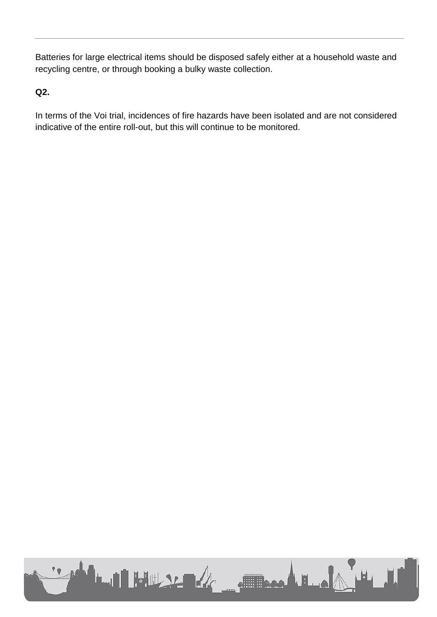Batteries for large electrical items should be disposed safely either at a household waste and recycling centre, or through booking a bulky waste collection.

**Q2.** 

In terms of the Voi trial, incidences of fire hazards have been isolated and are not considered indicative of the entire roll-out, but this will continue to be monitored.

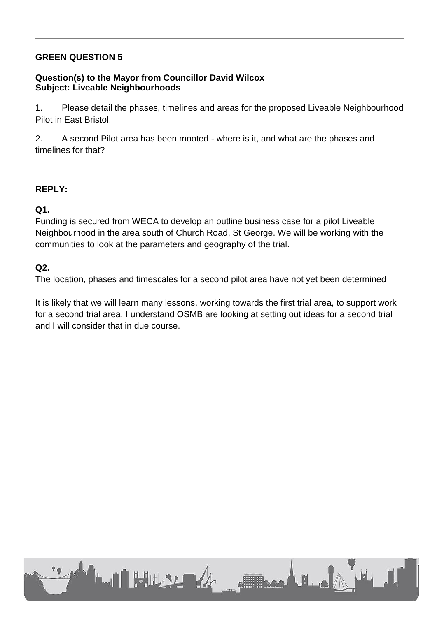## **GREEN QUESTION 5**

#### **Question(s) to the Mayor from Councillor David Wilcox Subject: Liveable Neighbourhoods**

**LAN HURLA** 

1. Please detail the phases, timelines and areas for the proposed Liveable Neighbourhood Pilot in East Bristol.

2. A second Pilot area has been mooted - where is it, and what are the phases and timelines for that?

## **REPLY:**

## **Q1.**

Funding is secured from WECA to develop an outline business case for a pilot Liveable Neighbourhood in the area south of Church Road, St George. We will be working with the communities to look at the parameters and geography of the trial.

## **Q2.**

The location, phases and timescales for a second pilot area have not yet been determined

It is likely that we will learn many lessons, working towards the first trial area, to support work for a second trial area. I understand OSMB are looking at setting out ideas for a second trial and I will consider that in due course.

**Millera**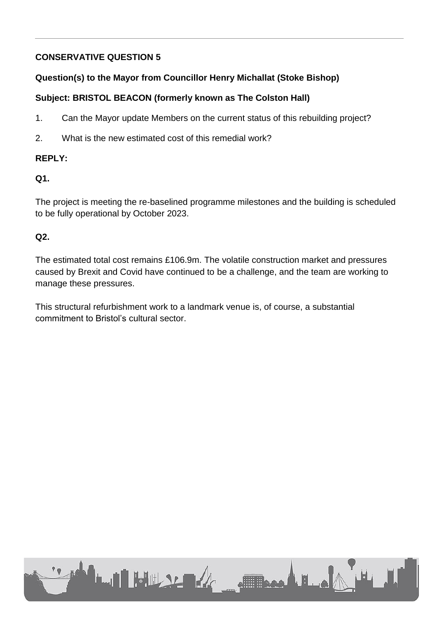## **CONSERVATIVE QUESTION 5**

## **Question(s) to the Mayor from Councillor Henry Michallat (Stoke Bishop)**

## **Subject: BRISTOL BEACON (formerly known as The Colston Hall)**

- 1. Can the Mayor update Members on the current status of this rebuilding project?
- 2. What is the new estimated cost of this remedial work?

**LT HURLA** 

**HILL AND** 

#### **REPLY:**

## **Q1.**

The project is meeting the re-baselined programme milestones and the building is scheduled to be fully operational by October 2023.

## **Q2.**

The estimated total cost remains £106.9m. The volatile construction market and pressures caused by Brexit and Covid have continued to be a challenge, and the team are working to manage these pressures.

This structural refurbishment work to a landmark venue is, of course, a substantial commitment to Bristol's cultural sector.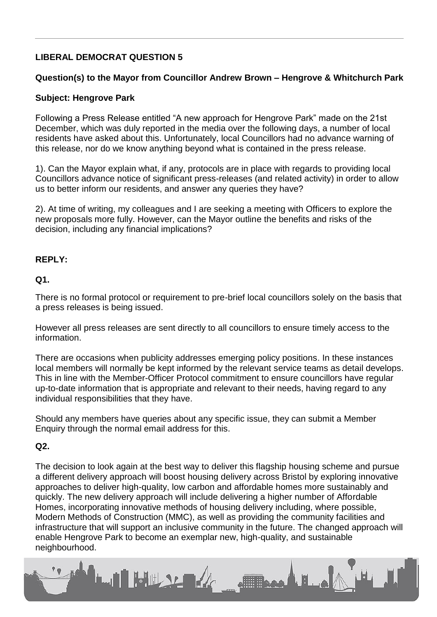## **LIBERAL DEMOCRAT QUESTION 5**

## **Question(s) to the Mayor from Councillor Andrew Brown – Hengrove & Whitchurch Park**

#### **Subject: Hengrove Park**

Following a Press Release entitled "A new approach for Hengrove Park" made on the 21st December, which was duly reported in the media over the following days, a number of local residents have asked about this. Unfortunately, local Councillors had no advance warning of this release, nor do we know anything beyond what is contained in the press release.

1). Can the Mayor explain what, if any, protocols are in place with regards to providing local Councillors advance notice of significant press-releases (and related activity) in order to allow us to better inform our residents, and answer any queries they have?

2). At time of writing, my colleagues and I are seeking a meeting with Officers to explore the new proposals more fully. However, can the Mayor outline the benefits and risks of the decision, including any financial implications?

## **REPLY:**

#### **Q1.**

There is no formal protocol or requirement to pre-brief local councillors solely on the basis that a press releases is being issued.

However all press releases are sent directly to all councillors to ensure timely access to the information.

There are occasions when publicity addresses emerging policy positions. In these instances local members will normally be kept informed by the relevant service teams as detail develops. This in line with the Member-Officer Protocol commitment to ensure councillors have regular up-to-date information that is appropriate and relevant to their needs, having regard to any individual responsibilities that they have.

Should any members have queries about any specific issue, they can submit a Member Enquiry through the normal email address for this.

## **Q2.**

The decision to look again at the best way to deliver this flagship housing scheme and pursue a different delivery approach will boost housing delivery across Bristol by exploring innovative approaches to deliver high-quality, low carbon and affordable homes more sustainably and quickly. The new delivery approach will include delivering a higher number of Affordable Homes, incorporating innovative methods of housing delivery including, where possible, Modern Methods of Construction (MMC), as well as providing the community facilities and infrastructure that will support an inclusive community in the future. The changed approach will enable Hengrove Park to become an exemplar new, high-quality, and sustainable neighbourhood.

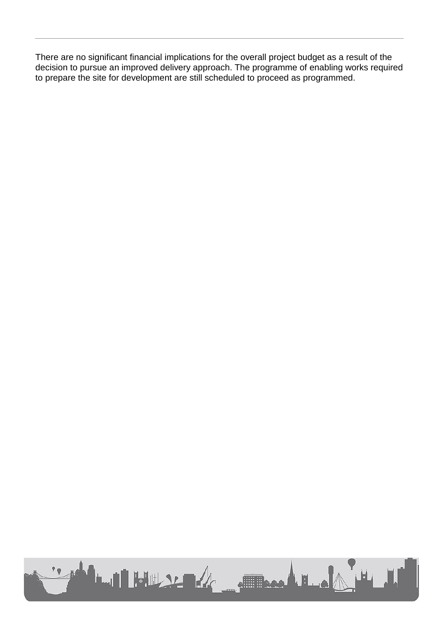There are no significant financial implications for the overall project budget as a result of the decision to pursue an improved delivery approach. The programme of enabling works required to prepare the site for development are still scheduled to proceed as programmed.

Harry Holland Read of the

**Theory La**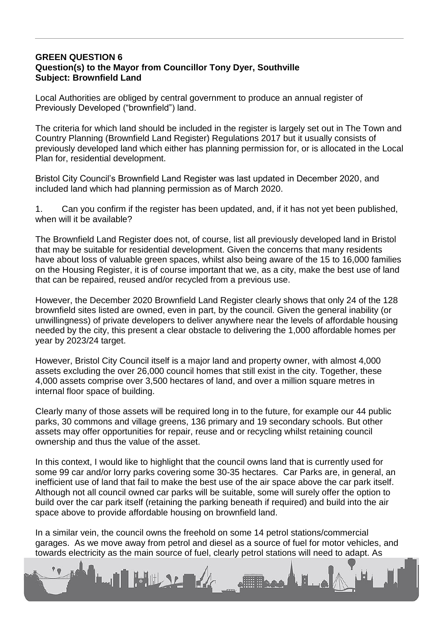#### **GREEN QUESTION 6 Question(s) to the Mayor from Councillor Tony Dyer, Southville Subject: Brownfield Land**

Local Authorities are obliged by central government to produce an annual register of Previously Developed ("brownfield") land.

The criteria for which land should be included in the register is largely set out in The Town and Country Planning (Brownfield Land Register) Regulations 2017 but it usually consists of previously developed land which either has planning permission for, or is allocated in the Local Plan for, residential development.

Bristol City Council's Brownfield Land Register was last updated in December 2020, and included land which had planning permission as of March 2020.

1. Can you confirm if the register has been updated, and, if it has not yet been published, when will it be available?

The Brownfield Land Register does not, of course, list all previously developed land in Bristol that may be suitable for residential development. Given the concerns that many residents have about loss of valuable green spaces, whilst also being aware of the 15 to 16,000 families on the Housing Register, it is of course important that we, as a city, make the best use of land that can be repaired, reused and/or recycled from a previous use.

However, the December 2020 Brownfield Land Register clearly shows that only 24 of the 128 brownfield sites listed are owned, even in part, by the council. Given the general inability (or unwillingness) of private developers to deliver anywhere near the levels of affordable housing needed by the city, this present a clear obstacle to delivering the 1,000 affordable homes per year by 2023/24 target.

However, Bristol City Council itself is a major land and property owner, with almost 4,000 assets excluding the over 26,000 council homes that still exist in the city. Together, these 4,000 assets comprise over 3,500 hectares of land, and over a million square metres in internal floor space of building.

Clearly many of those assets will be required long in to the future, for example our 44 public parks, 30 commons and village greens, 136 primary and 19 secondary schools. But other assets may offer opportunities for repair, reuse and or recycling whilst retaining council ownership and thus the value of the asset.

In this context, I would like to highlight that the council owns land that is currently used for some 99 car and/or lorry parks covering some 30-35 hectares. Car Parks are, in general, an inefficient use of land that fail to make the best use of the air space above the car park itself. Although not all council owned car parks will be suitable, some will surely offer the option to build over the car park itself (retaining the parking beneath if required) and build into the air space above to provide affordable housing on brownfield land.

In a similar vein, the council owns the freehold on some 14 petrol stations/commercial garages. As we move away from petrol and diesel as a source of fuel for motor vehicles, and towards electricity as the main source of fuel, clearly petrol stations will need to adapt. As

**Lui Hill Se**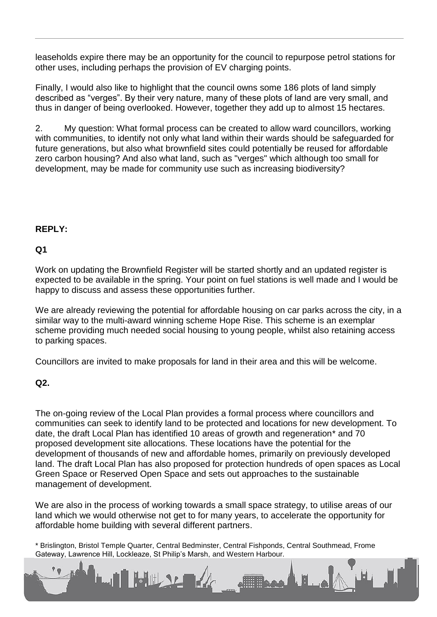leaseholds expire there may be an opportunity for the council to repurpose petrol stations for other uses, including perhaps the provision of EV charging points.

Finally, I would also like to highlight that the council owns some 186 plots of land simply described as "verges". By their very nature, many of these plots of land are very small, and thus in danger of being overlooked. However, together they add up to almost 15 hectares.

2. My question: What formal process can be created to allow ward councillors, working with communities, to identify not only what land within their wards should be safeguarded for future generations, but also what brownfield sites could potentially be reused for affordable zero carbon housing? And also what land, such as "verges" which although too small for development, may be made for community use such as increasing biodiversity?

#### **REPLY:**

## **Q1**

Work on updating the Brownfield Register will be started shortly and an updated register is expected to be available in the spring. Your point on fuel stations is well made and I would be happy to discuss and assess these opportunities further.

We are already reviewing the potential for affordable housing on car parks across the city, in a similar way to the multi-award winning scheme Hope Rise. This scheme is an exemplar scheme providing much needed social housing to young people, whilst also retaining access to parking spaces.

Councillors are invited to make proposals for land in their area and this will be welcome.

#### **Q2.**

The on-going review of the Local Plan provides a formal process where councillors and communities can seek to identify land to be protected and locations for new development. To date, the draft Local Plan has identified 10 areas of growth and regeneration\* and 70 proposed development site allocations. These locations have the potential for the development of thousands of new and affordable homes, primarily on previously developed land. The draft Local Plan has also proposed for protection hundreds of open spaces as Local Green Space or Reserved Open Space and sets out approaches to the sustainable management of development.

We are also in the process of working towards a small space strategy, to utilise areas of our land which we would otherwise not get to for many years, to accelerate the opportunity for affordable home building with several different partners.

\* Brislington, Bristol Temple Quarter, Central Bedminster, Central Fishponds, Central Southmead, Frome Gateway, Lawrence Hill, Lockleaze, St Philip's Marsh, and Western Harbour.

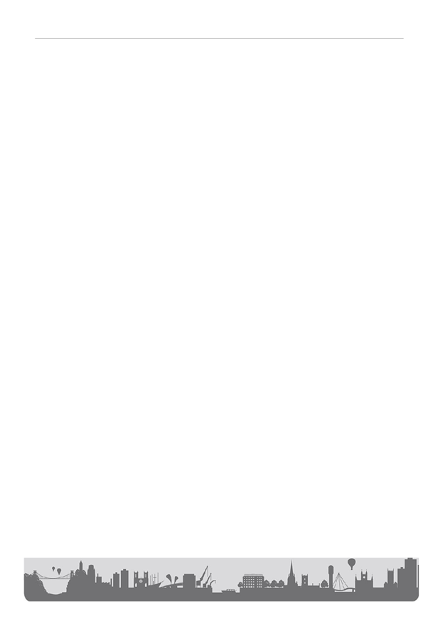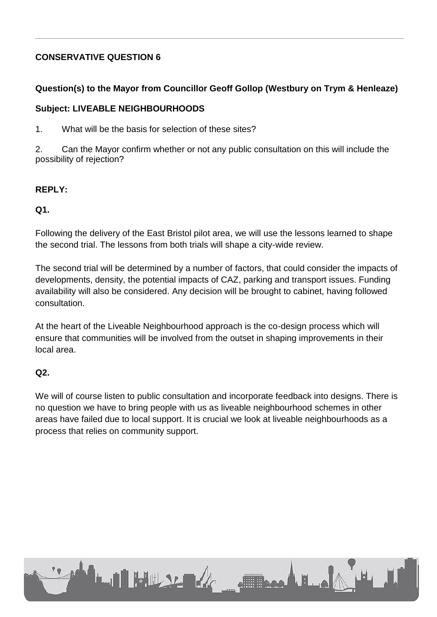## **CONSERVATIVE QUESTION 6**

## **Question(s) to the Mayor from Councillor Geoff Gollop (Westbury on Trym & Henleaze)**

## **Subject: LIVEABLE NEIGHBOURHOODS**

1. What will be the basis for selection of these sites?

2. Can the Mayor confirm whether or not any public consultation on this will include the possibility of rejection?

## **REPLY:**

**Q1.**

Following the delivery of the East Bristol pilot area, we will use the lessons learned to shape the second trial. The lessons from both trials will shape a city-wide review.

The second trial will be determined by a number of factors, that could consider the impacts of developments, density, the potential impacts of CAZ, parking and transport issues. Funding availability will also be considered. Any decision will be brought to cabinet, having followed consultation.

At the heart of the Liveable Neighbourhood approach is the co-design process which will ensure that communities will be involved from the outset in shaping improvements in their local area.

## **Q2.**

We will of course listen to public consultation and incorporate feedback into designs. There is no question we have to bring people with us as liveable neighbourhood schemes in other areas have failed due to local support. It is crucial we look at liveable neighbourhoods as a process that relies on community support.

**HILL AND** 

**LAN 5-14-22 14-4-4**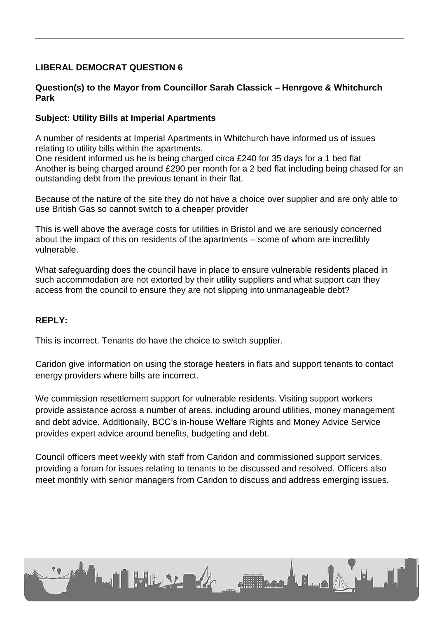## **LIBERAL DEMOCRAT QUESTION 6**

#### **Question(s) to the Mayor from Councillor Sarah Classick – Henrgove & Whitchurch Park**

#### **Subject: Utility Bills at Imperial Apartments**

A number of residents at Imperial Apartments in Whitchurch have informed us of issues relating to utility bills within the apartments.

One resident informed us he is being charged circa £240 for 35 days for a 1 bed flat Another is being charged around £290 per month for a 2 bed flat including being chased for an outstanding debt from the previous tenant in their flat.

Because of the nature of the site they do not have a choice over supplier and are only able to use British Gas so cannot switch to a cheaper provider

This is well above the average costs for utilities in Bristol and we are seriously concerned about the impact of this on residents of the apartments – some of whom are incredibly vulnerable.

What safeguarding does the council have in place to ensure vulnerable residents placed in such accommodation are not extorted by their utility suppliers and what support can they access from the council to ensure they are not slipping into unmanageable debt?

#### **REPLY:**

This is incorrect. Tenants do have the choice to switch supplier.

Caridon give information on using the storage heaters in flats and support tenants to contact energy providers where bills are incorrect.

We commission resettlement support for vulnerable residents. Visiting support workers provide assistance across a number of areas, including around utilities, money management and debt advice. Additionally, BCC's in-house Welfare Rights and Money Advice Service provides expert advice around benefits, budgeting and debt.

Council officers meet weekly with staff from Caridon and commissioned support services, providing a forum for issues relating to tenants to be discussed and resolved. Officers also meet monthly with senior managers from Caridon to discuss and address emerging issues.

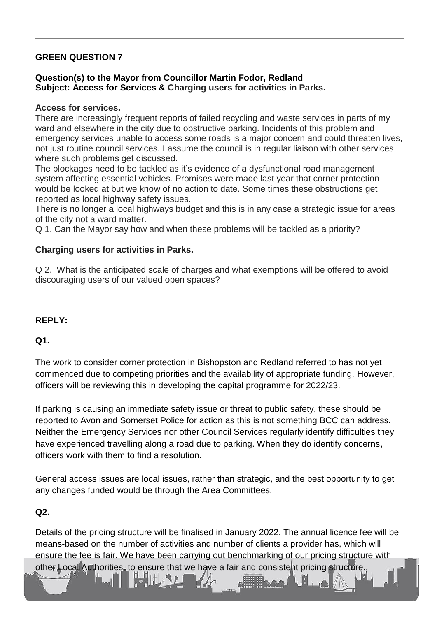#### **GREEN QUESTION 7**

#### **Question(s) to the Mayor from Councillor Martin Fodor, Redland Subject: Access for Services & Charging users for activities in Parks.**

#### **Access for services.**

There are increasingly frequent reports of failed recycling and waste services in parts of my ward and elsewhere in the city due to obstructive parking. Incidents of this problem and emergency services unable to access some roads is a major concern and could threaten lives, not just routine council services. I assume the council is in regular liaison with other services where such problems get discussed.

The blockages need to be tackled as it's evidence of a dysfunctional road management system affecting essential vehicles. Promises were made last year that corner protection would be looked at but we know of no action to date. Some times these obstructions get reported as local highway safety issues.

There is no longer a local highways budget and this is in any case a strategic issue for areas of the city not a ward matter.

Q 1. Can the Mayor say how and when these problems will be tackled as a priority?

#### **Charging users for activities in Parks.**

Q 2. What is the anticipated scale of charges and what exemptions will be offered to avoid discouraging users of our valued open spaces?

## **REPLY:**

**Q1.**

The work to consider corner protection in Bishopston and Redland referred to has not yet commenced due to competing priorities and the availability of appropriate funding. However, officers will be reviewing this in developing the capital programme for 2022/23.

If parking is causing an immediate safety issue or threat to public safety, these should be reported to Avon and Somerset Police for action as this is not something BCC can address. Neither the Emergency Services nor other Council Services regularly identify difficulties they have experienced travelling along a road due to parking. When they do identify concerns, officers work with them to find a resolution.

General access issues are local issues, rather than strategic, and the best opportunity to get any changes funded would be through the Area Committees.

## **Q2.**

Details of the pricing structure will be finalised in January 2022. The annual licence fee will be means-based on the number of activities and number of clients a provider has, which will ensure the fee is fair. We have been carrying out benchmarking of our pricing structure with other Local Authorities, to ensure that we have a fair and consistent pricing structure.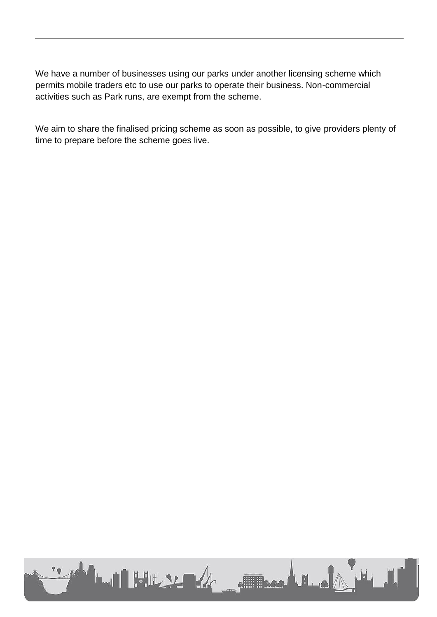We have a number of businesses using our parks under another licensing scheme which permits mobile traders etc to use our parks to operate their business. Non-commercial activities such as Park runs, are exempt from the scheme.

We aim to share the finalised pricing scheme as soon as possible, to give providers plenty of time to prepare before the scheme goes live.

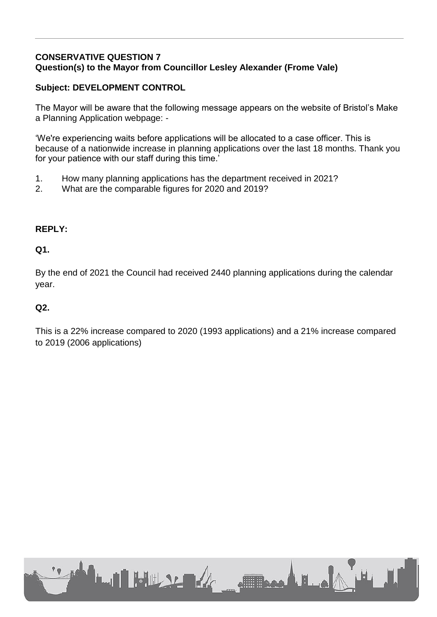## **CONSERVATIVE QUESTION 7 Question(s) to the Mayor from Councillor Lesley Alexander (Frome Vale)**

## **Subject: DEVELOPMENT CONTROL**

The Mayor will be aware that the following message appears on the website of Bristol's Make a Planning Application webpage: -

'We're experiencing waits before applications will be allocated to a case officer. This is because of a nationwide increase in planning applications over the last 18 months. Thank you for your patience with our staff during this time.'

- 1. How many planning applications has the department received in 2021?
- 2. What are the comparable figures for 2020 and 2019?

## **REPLY:**

## **Q1.**

By the end of 2021 the Council had received 2440 planning applications during the calendar year.

## **Q2.**

This is a 22% increase compared to 2020 (1993 applications) and a 21% increase compared to 2019 (2006 applications)

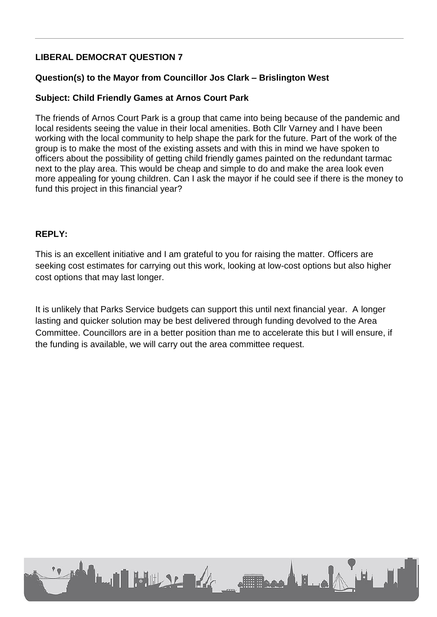## **LIBERAL DEMOCRAT QUESTION 7**

## **Question(s) to the Mayor from Councillor Jos Clark – Brislington West**

## **Subject: Child Friendly Games at Arnos Court Park**

**LAN 54 22 14** 

The friends of Arnos Court Park is a group that came into being because of the pandemic and local residents seeing the value in their local amenities. Both Cllr Varney and I have been working with the local community to help shape the park for the future. Part of the work of the group is to make the most of the existing assets and with this in mind we have spoken to officers about the possibility of getting child friendly games painted on the redundant tarmac next to the play area. This would be cheap and simple to do and make the area look even more appealing for young children. Can I ask the mayor if he could see if there is the money to fund this project in this financial year?

## **REPLY:**

This is an excellent initiative and I am grateful to you for raising the matter. Officers are seeking cost estimates for carrying out this work, looking at low-cost options but also higher cost options that may last longer.

It is unlikely that Parks Service budgets can support this until next financial year. A longer lasting and quicker solution may be best delivered through funding devolved to the Area Committee. Councillors are in a better position than me to accelerate this but I will ensure, if the funding is available, we will carry out the area committee request.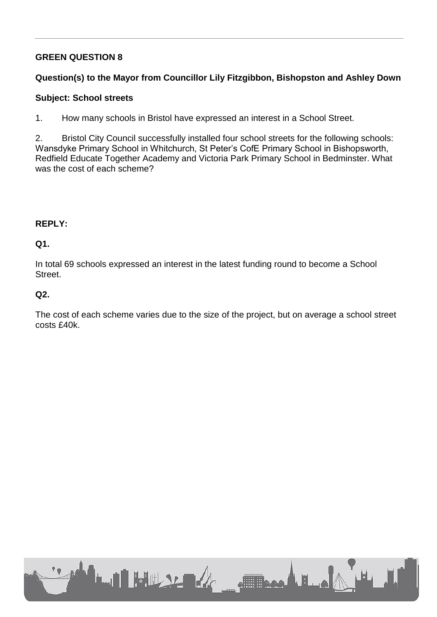## **GREEN QUESTION 8**

## **Question(s) to the Mayor from Councillor Lily Fitzgibbon, Bishopston and Ashley Down**

#### **Subject: School streets**

1. How many schools in Bristol have expressed an interest in a School Street.

2. Bristol City Council successfully installed four school streets for the following schools: Wansdyke Primary School in Whitchurch, St Peter's CofE Primary School in Bishopsworth, Redfield Educate Together Academy and Victoria Park Primary School in Bedminster. What was the cost of each scheme?

#### **REPLY:**

#### **Q1.**

In total 69 schools expressed an interest in the latest funding round to become a School Street.

#### **Q2.**

The cost of each scheme varies due to the size of the project, but on average a school street costs £40k.

**HILL** 

**LT HURL**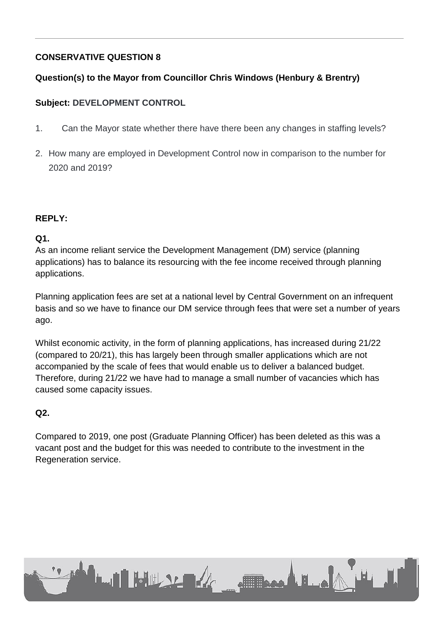## **CONSERVATIVE QUESTION 8**

## **Question(s) to the Mayor from Councillor Chris Windows (Henbury & Brentry)**

## **Subject: DEVELOPMENT CONTROL**

- 1. Can the Mayor state whether there have there been any changes in staffing levels?
- 2. How many are employed in Development Control now in comparison to the number for 2020 and 2019?

#### **REPLY:**

## **Q1.**

As an income reliant service the Development Management (DM) service (planning applications) has to balance its resourcing with the fee income received through planning applications.

Planning application fees are set at a national level by Central Government on an infrequent basis and so we have to finance our DM service through fees that were set a number of years ago.

Whilst economic activity, in the form of planning applications, has increased during 21/22 (compared to 20/21), this has largely been through smaller applications which are not accompanied by the scale of fees that would enable us to deliver a balanced budget. Therefore, during 21/22 we have had to manage a small number of vacancies which has caused some capacity issues.

## **Q2.**

Compared to 2019, one post (Graduate Planning Officer) has been deleted as this was a vacant post and the budget for this was needed to contribute to the investment in the Regeneration service.

**LAN 5-11-12-12-4** 

A<u>irla</u>

**THE CASE**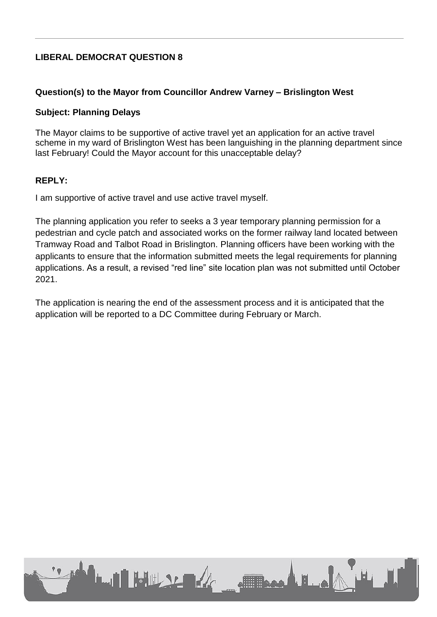## **LIBERAL DEMOCRAT QUESTION 8**

## **Question(s) to the Mayor from Councillor Andrew Varney – Brislington West**

#### **Subject: Planning Delays**

The Mayor claims to be supportive of active travel yet an application for an active travel scheme in my ward of Brislington West has been languishing in the planning department since last February! Could the Mayor account for this unacceptable delay?

## **REPLY:**

I am supportive of active travel and use active travel myself.

**LAN FRANCE** 

The planning application you refer to seeks a 3 year temporary planning permission for a pedestrian and cycle patch and associated works on the former railway land located between Tramway Road and Talbot Road in Brislington. Planning officers have been working with the applicants to ensure that the information submitted meets the legal requirements for planning applications. As a result, a revised "red line" site location plan was not submitted until October 2021.

The application is nearing the end of the assessment process and it is anticipated that the application will be reported to a DC Committee during February or March.

MH.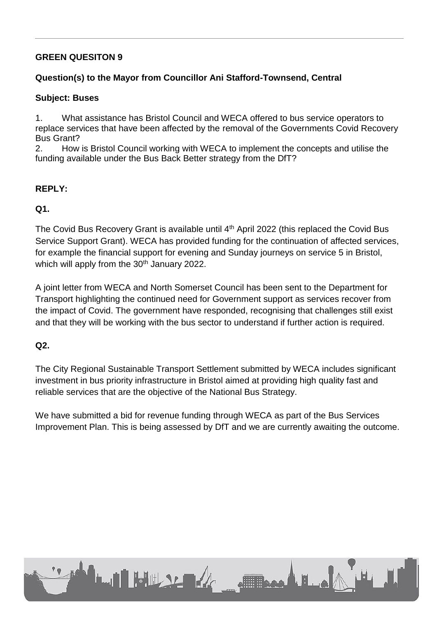## **GREEN QUESITON 9**

## **Question(s) to the Mayor from Councillor Ani Stafford-Townsend, Central**

#### **Subject: Buses**

1. What assistance has Bristol Council and WECA offered to bus service operators to replace services that have been affected by the removal of the Governments Covid Recovery Bus Grant?

2. How is Bristol Council working with WECA to implement the concepts and utilise the funding available under the Bus Back Better strategy from the DfT?

## **REPLY:**

## **Q1.**

The Covid Bus Recovery Grant is available until 4<sup>th</sup> April 2022 (this replaced the Covid Bus Service Support Grant). WECA has provided funding for the continuation of affected services, for example the financial support for evening and Sunday journeys on service 5 in Bristol, which will apply from the 30<sup>th</sup> January 2022.

A joint letter from WECA and North Somerset Council has been sent to the Department for Transport highlighting the continued need for Government support as services recover from the impact of Covid. The government have responded, recognising that challenges still exist and that they will be working with the bus sector to understand if further action is required.

## **Q2.**

The City Regional Sustainable Transport Settlement submitted by WECA includes significant investment in bus priority infrastructure in Bristol aimed at providing high quality fast and reliable services that are the objective of the National Bus Strategy.

We have submitted a bid for revenue funding through WECA as part of the Bus Services Improvement Plan. This is being assessed by DfT and we are currently awaiting the outcome.

**MAN** 

**LAN 54 22 14**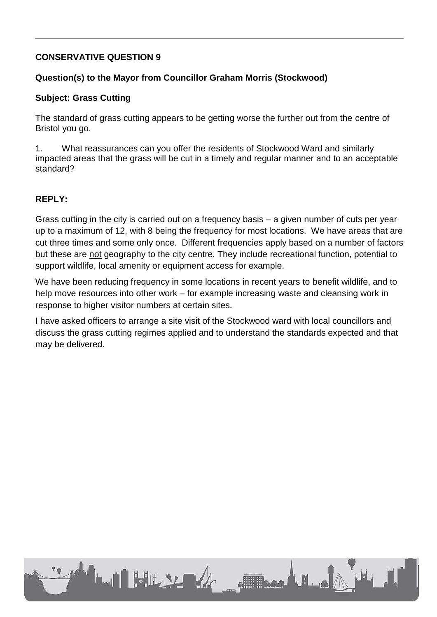## **CONSERVATIVE QUESTION 9**

## **Question(s) to the Mayor from Councillor Graham Morris (Stockwood)**

#### **Subject: Grass Cutting**

The standard of grass cutting appears to be getting worse the further out from the centre of Bristol you go.

1. What reassurances can you offer the residents of Stockwood Ward and similarly impacted areas that the grass will be cut in a timely and regular manner and to an acceptable standard?

#### **REPLY:**

Grass cutting in the city is carried out on a frequency basis – a given number of cuts per year up to a maximum of 12, with 8 being the frequency for most locations. We have areas that are cut three times and some only once. Different frequencies apply based on a number of factors but these are not geography to the city centre. They include recreational function, potential to support wildlife, local amenity or equipment access for example.

We have been reducing frequency in some locations in recent years to benefit wildlife, and to help move resources into other work – for example increasing waste and cleansing work in response to higher visitor numbers at certain sites.

I have asked officers to arrange a site visit of the Stockwood ward with local councillors and discuss the grass cutting regimes applied and to understand the standards expected and that may be delivered.

**FREE** 

**LAN HULLA**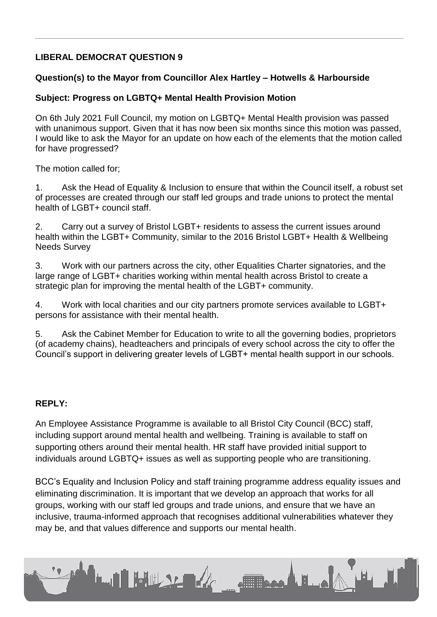## **LIBERAL DEMOCRAT QUESTION 9**

## **Question(s) to the Mayor from Councillor Alex Hartley – Hotwells & Harbourside**

#### **Subject: Progress on LGBTQ+ Mental Health Provision Motion**

On 6th July 2021 Full Council, my motion on LGBTQ+ Mental Health provision was passed with unanimous support. Given that it has now been six months since this motion was passed, I would like to ask the Mayor for an update on how each of the elements that the motion called for have progressed?

The motion called for;

1. Ask the Head of Equality & Inclusion to ensure that within the Council itself, a robust set of processes are created through our staff led groups and trade unions to protect the mental health of LGBT+ council staff.

2. Carry out a survey of Bristol LGBT+ residents to assess the current issues around health within the LGBT+ Community, similar to the 2016 Bristol LGBT+ Health & Wellbeing Needs Survey

3. Work with our partners across the city, other Equalities Charter signatories, and the large range of LGBT+ charities working within mental health across Bristol to create a strategic plan for improving the mental health of the LGBT+ community.

4. Work with local charities and our city partners promote services available to LGBT+ persons for assistance with their mental health.

5. Ask the Cabinet Member for Education to write to all the governing bodies, proprietors (of academy chains), headteachers and principals of every school across the city to offer the Council's support in delivering greater levels of LGBT+ mental health support in our schools.

#### **REPLY:**

An Employee Assistance Programme is available to all Bristol City Council (BCC) staff, including support around mental health and wellbeing. Training is available to staff on supporting others around their mental health. HR staff have provided initial support to individuals around LGBTQ+ issues as well as supporting people who are transitioning.

BCC's Equality and Inclusion Policy and staff training programme address equality issues and eliminating discrimination. It is important that we develop an approach that works for all groups, working with our staff led groups and trade unions, and ensure that we have an inclusive, trauma-informed approach that recognises additional vulnerabilities whatever they may be, and that values difference and supports our mental health.

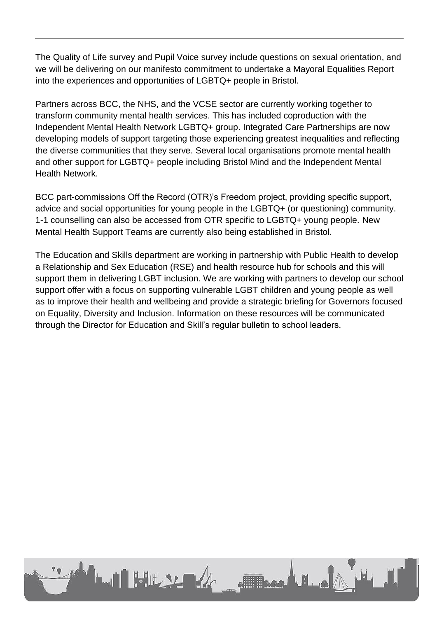The Quality of Life survey and Pupil Voice survey include questions on sexual orientation, and we will be delivering on our manifesto commitment to undertake a Mayoral Equalities Report into the experiences and opportunities of LGBTQ+ people in Bristol.

Partners across BCC, the NHS, and the VCSE sector are currently working together to transform community mental health services. This has included coproduction with the Independent Mental Health Network LGBTQ+ group. Integrated Care Partnerships are now developing models of support targeting those experiencing greatest inequalities and reflecting the diverse communities that they serve. Several local organisations promote mental health and other support for LGBTQ+ people including Bristol Mind and the Independent Mental Health Network.

BCC part-commissions Off the Record (OTR)'s Freedom project, providing specific support, advice and social opportunities for young people in the LGBTQ+ (or questioning) community. 1-1 counselling can also be accessed from OTR specific to LGBTQ+ young people. New Mental Health Support Teams are currently also being established in Bristol.

The Education and Skills department are working in partnership with Public Health to develop a Relationship and Sex Education (RSE) and health resource hub for schools and this will support them in delivering LGBT inclusion. We are working with partners to develop our school support offer with a focus on supporting vulnerable LGBT children and young people as well as to improve their health and wellbeing and provide a strategic briefing for Governors focused on Equality, Diversity and Inclusion. Information on these resources will be communicated through the Director for Education and Skill's regular bulletin to school leaders.

**Millered** 

**LAN BULLER**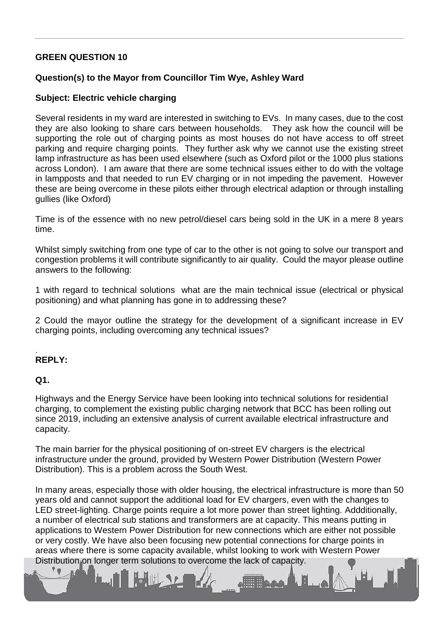#### **GREEN QUESTION 10**

#### **Question(s) to the Mayor from Councillor Tim Wye, Ashley Ward**

#### **Subject: Electric vehicle charging**

Several residents in my ward are interested in switching to EVs. In many cases, due to the cost they are also looking to share cars between households. They ask how the council will be supporting the role out of charging points as most houses do not have access to off street parking and require charging points. They further ask why we cannot use the existing street lamp infrastructure as has been used elsewhere (such as Oxford pilot or the 1000 plus stations across London). I am aware that there are some technical issues either to do with the voltage in lampposts and that needed to run EV charging or in not impeding the pavement. However these are being overcome in these pilots either through electrical adaption or through installing gullies (like Oxford)

Time is of the essence with no new petrol/diesel cars being sold in the UK in a mere 8 years time.

Whilst simply switching from one type of car to the other is not going to solve our transport and congestion problems it will contribute significantly to air quality. Could the mayor please outline answers to the following:

1 with regard to technical solutions what are the main technical issue (electrical or physical positioning) and what planning has gone in to addressing these?

2 Could the mayor outline the strategy for the development of a significant increase in EV charging points, including overcoming any technical issues?

#### . **REPLY:**

#### **Q1.**

Highways and the Energy Service have been looking into technical solutions for residential charging, to complement the existing public charging network that BCC has been rolling out since 2019, including an extensive analysis of current available electrical infrastructure and capacity.

The main barrier for the physical positioning of on-street EV chargers is the electrical infrastructure under the ground, provided by Western Power Distribution (Western Power Distribution). This is a problem across the South West.

In many areas, especially those with older housing, the electrical infrastructure is more than 50 years old and cannot support the additional load for EV chargers, even with the changes to LED street-lighting. Charge points require a lot more power than street lighting. Addditionally, a number of electrical sub stations and transformers are at capacity. This means putting in applications to Western Power Distribution for new connections which are either not possible or very costly. We have also been focusing new potential connections for charge points in areas where there is some capacity available, whilst looking to work with Western Power Distribution on longer term solutions to overcome the lack of capacity.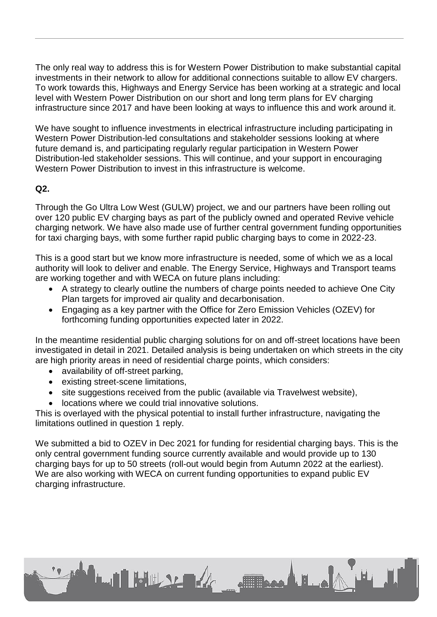The only real way to address this is for Western Power Distribution to make substantial capital investments in their network to allow for additional connections suitable to allow EV chargers. To work towards this, Highways and Energy Service has been working at a strategic and local level with Western Power Distribution on our short and long term plans for EV charging infrastructure since 2017 and have been looking at ways to influence this and work around it.

We have sought to influence investments in electrical infrastructure including participating in Western Power Distribution-led consultations and stakeholder sessions looking at where future demand is, and participating regularly regular participation in Western Power Distribution-led stakeholder sessions. This will continue, and your support in encouraging Western Power Distribution to invest in this infrastructure is welcome.

## **Q2.**

Through the Go Ultra Low West (GULW) project, we and our partners have been rolling out over 120 public EV charging bays as part of the publicly owned and operated Revive vehicle charging network. We have also made use of further central government funding opportunities for taxi charging bays, with some further rapid public charging bays to come in 2022-23.

This is a good start but we know more infrastructure is needed, some of which we as a local authority will look to deliver and enable. The Energy Service, Highways and Transport teams are working together and with WECA on future plans including:

- A strategy to clearly outline the numbers of charge points needed to achieve One City Plan targets for improved air quality and decarbonisation.
- Engaging as a key partner with the Office for Zero Emission Vehicles (OZEV) for forthcoming funding opportunities expected later in 2022.

In the meantime residential public charging solutions for on and off-street locations have been investigated in detail in 2021. Detailed analysis is being undertaken on which streets in the city are high priority areas in need of residential charge points, which considers:

- availability of off-street parking,
- existing street-scene limitations,
- site suggestions received from the public (available via Travelwest website),
- locations where we could trial innovative solutions.

**LATERAL ACCEPTANCE** 

This is overlayed with the physical potential to install further infrastructure, navigating the limitations outlined in question 1 reply.

We submitted a bid to OZEV in Dec 2021 for funding for residential charging bays. This is the only central government funding source currently available and would provide up to 130 charging bays for up to 50 streets (roll-out would begin from Autumn 2022 at the earliest). We are also working with WECA on current funding opportunities to expand public EV charging infrastructure.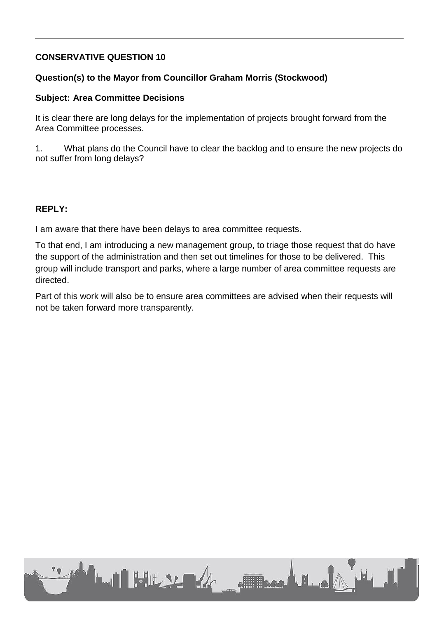## **CONSERVATIVE QUESTION 10**

## **Question(s) to the Mayor from Councillor Graham Morris (Stockwood)**

#### **Subject: Area Committee Decisions**

It is clear there are long delays for the implementation of projects brought forward from the Area Committee processes.

1. What plans do the Council have to clear the backlog and to ensure the new projects do not suffer from long delays?

## **REPLY:**

I am aware that there have been delays to area committee requests.

**LAN 181 12 14** 

To that end, I am introducing a new management group, to triage those request that do have the support of the administration and then set out timelines for those to be delivered. This group will include transport and parks, where a large number of area committee requests are directed.

Part of this work will also be to ensure area committees are advised when their requests will not be taken forward more transparently.

**HILL**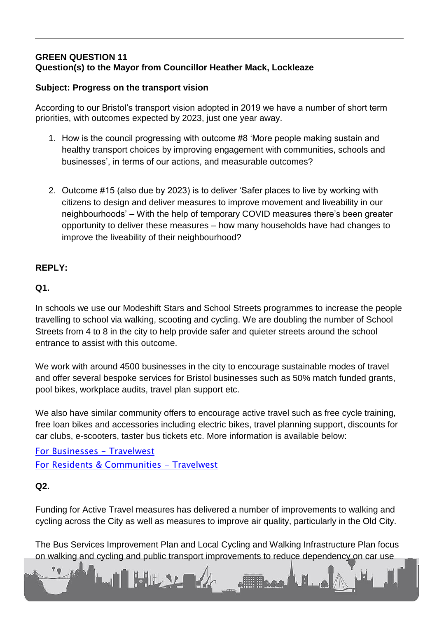## **GREEN QUESTION 11 Question(s) to the Mayor from Councillor Heather Mack, Lockleaze**

## **Subject: Progress on the transport vision**

According to our Bristol's transport vision adopted in 2019 we have a number of short term priorities, with outcomes expected by 2023, just one year away.

- 1. How is the council progressing with outcome #8 'More people making sustain and healthy transport choices by improving engagement with communities, schools and businesses', in terms of our actions, and measurable outcomes?
- 2. Outcome #15 (also due by 2023) is to deliver 'Safer places to live by working with citizens to design and deliver measures to improve movement and liveability in our neighbourhoods' – With the help of temporary COVID measures there's been greater opportunity to deliver these measures – how many households have had changes to improve the liveability of their neighbourhood?

## **REPLY:**

## **Q1.**

In schools we use our Modeshift Stars and School Streets programmes to increase the people travelling to school via walking, scooting and cycling. We are doubling the number of School Streets from 4 to 8 in the city to help provide safer and quieter streets around the school entrance to assist with this outcome.

We work with around 4500 businesses in the city to encourage sustainable modes of travel and offer several bespoke services for Bristol businesses such as 50% match funded grants, pool bikes, workplace audits, travel plan support etc.

We also have similar community offers to encourage active travel such as free cycle training, free loan bikes and accessories including electric bikes, travel planning support, discounts for car clubs, e-scooters, taster bus tickets etc. More information is available below:

[For Businesses -](https://travelwest.info/for-businesses) Travelwest [For Residents & Communities -](https://travelwest.info/for-communities) Travelwest

HU JL

## **Q2.**

Funding for Active Travel measures has delivered a number of improvements to walking and cycling across the City as well as measures to improve air quality, particularly in the Old City.

The Bus Services Improvement Plan and Local Cycling and Walking Infrastructure Plan focus on walking and cycling and public transport improvements to reduce dependency on car use